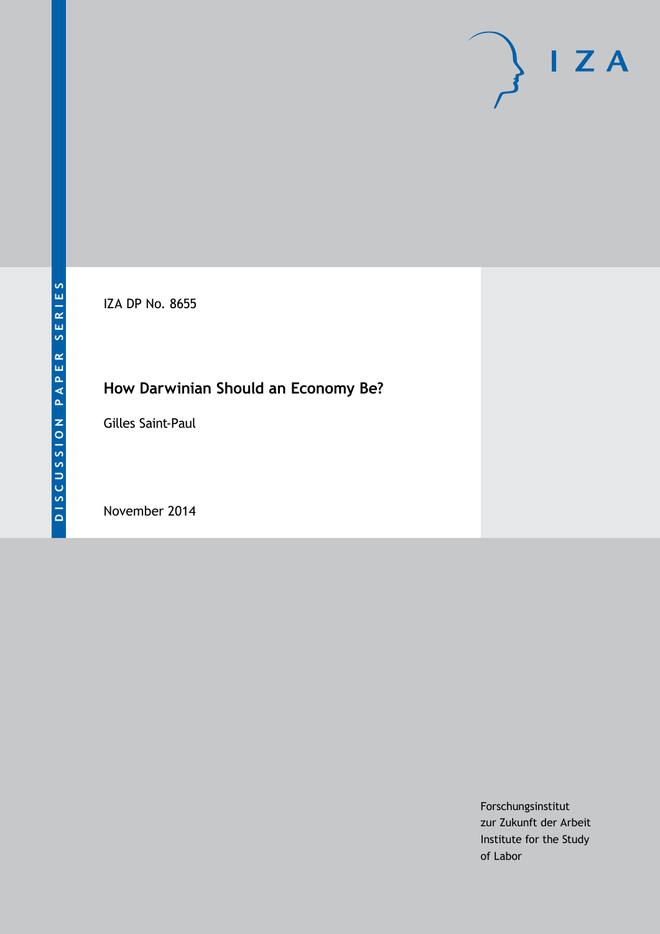# $I Z A$

IZA DP No. 8655

# **How Darwinian Should an Economy Be?**

Gilles Saint-Paul

November 2014

Forschungsinstitut zur Zukunft der Arbeit Institute for the Study of Labor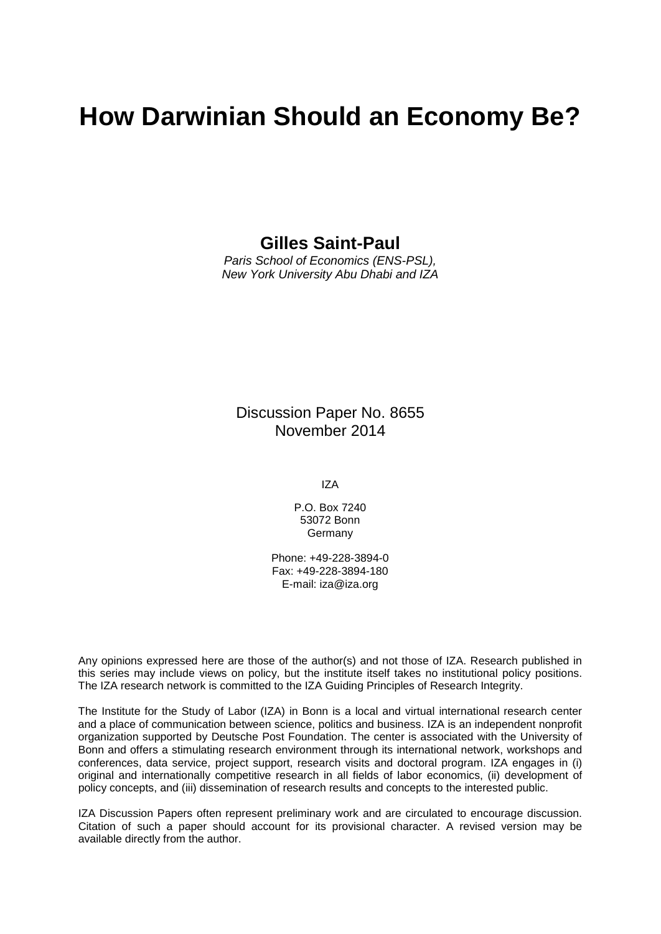# **How Darwinian Should an Economy Be?**

# **Gilles Saint-Paul**

*Paris School of Economics (ENS-PSL), New York University Abu Dhabi and IZA*

Discussion Paper No. 8655 November 2014

IZA

P.O. Box 7240 53072 Bonn Germany

Phone: +49-228-3894-0 Fax: +49-228-3894-180 E-mail: [iza@iza.org](mailto:iza@iza.org)

Any opinions expressed here are those of the author(s) and not those of IZA. Research published in this series may include views on policy, but the institute itself takes no institutional policy positions. The IZA research network is committed to the IZA Guiding Principles of Research Integrity.

The Institute for the Study of Labor (IZA) in Bonn is a local and virtual international research center and a place of communication between science, politics and business. IZA is an independent nonprofit organization supported by Deutsche Post Foundation. The center is associated with the University of Bonn and offers a stimulating research environment through its international network, workshops and conferences, data service, project support, research visits and doctoral program. IZA engages in (i) original and internationally competitive research in all fields of labor economics, (ii) development of policy concepts, and (iii) dissemination of research results and concepts to the interested public.

IZA Discussion Papers often represent preliminary work and are circulated to encourage discussion. Citation of such a paper should account for its provisional character. A revised version may be available directly from the author.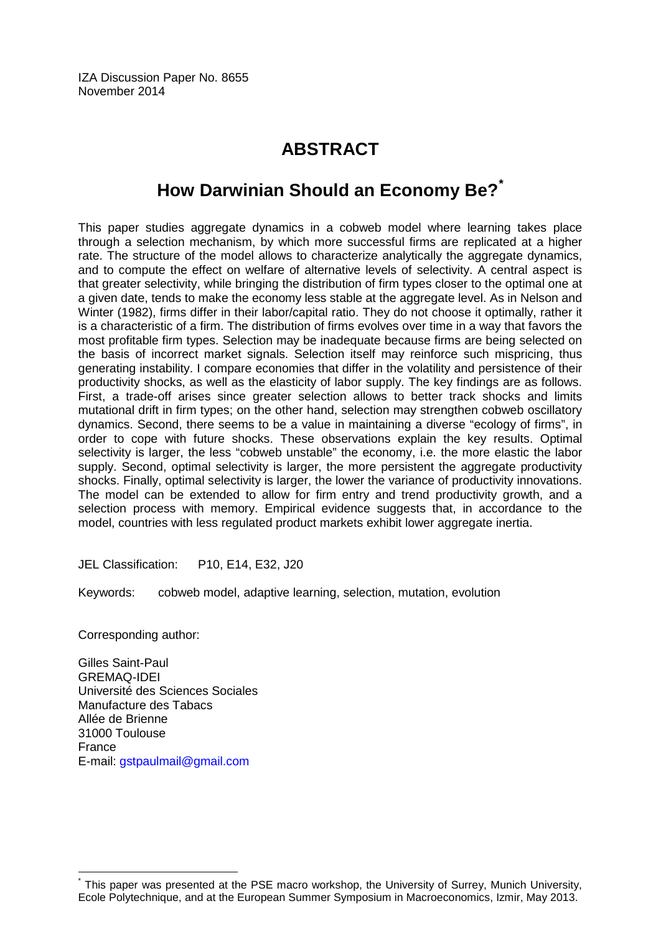# **ABSTRACT**

# **How Darwinian Should an Economy Be?[\\*](#page-2-0)**

This paper studies aggregate dynamics in a cobweb model where learning takes place through a selection mechanism, by which more successful firms are replicated at a higher rate. The structure of the model allows to characterize analytically the aggregate dynamics, and to compute the effect on welfare of alternative levels of selectivity. A central aspect is that greater selectivity, while bringing the distribution of firm types closer to the optimal one at a given date, tends to make the economy less stable at the aggregate level. As in Nelson and Winter (1982), firms differ in their labor/capital ratio. They do not choose it optimally, rather it is a characteristic of a firm. The distribution of firms evolves over time in a way that favors the most profitable firm types. Selection may be inadequate because firms are being selected on the basis of incorrect market signals. Selection itself may reinforce such mispricing, thus generating instability. I compare economies that differ in the volatility and persistence of their productivity shocks, as well as the elasticity of labor supply. The key findings are as follows. First, a trade-off arises since greater selection allows to better track shocks and limits mutational drift in firm types; on the other hand, selection may strengthen cobweb oscillatory dynamics. Second, there seems to be a value in maintaining a diverse "ecology of firms", in order to cope with future shocks. These observations explain the key results. Optimal selectivity is larger, the less "cobweb unstable" the economy, i.e. the more elastic the labor supply. Second, optimal selectivity is larger, the more persistent the aggregate productivity shocks. Finally, optimal selectivity is larger, the lower the variance of productivity innovations. The model can be extended to allow for firm entry and trend productivity growth, and a selection process with memory. Empirical evidence suggests that, in accordance to the model, countries with less regulated product markets exhibit lower aggregate inertia.

JEL Classification: P10, E14, E32, J20

Keywords: cobweb model, adaptive learning, selection, mutation, evolution

Corresponding author:

Gilles Saint-Paul GREMAQ-IDEI Université des Sciences Sociales Manufacture des Tabacs Allée de Brienne 31000 Toulouse France E-mail: [gstpaulmail@gmail.com](mailto:gstpaulmail@gmail.com)

<span id="page-2-0"></span>This paper was presented at the PSE macro workshop, the University of Surrey, Munich University, Ecole Polytechnique, and at the European Summer Symposium in Macroeconomics, Izmir, May 2013.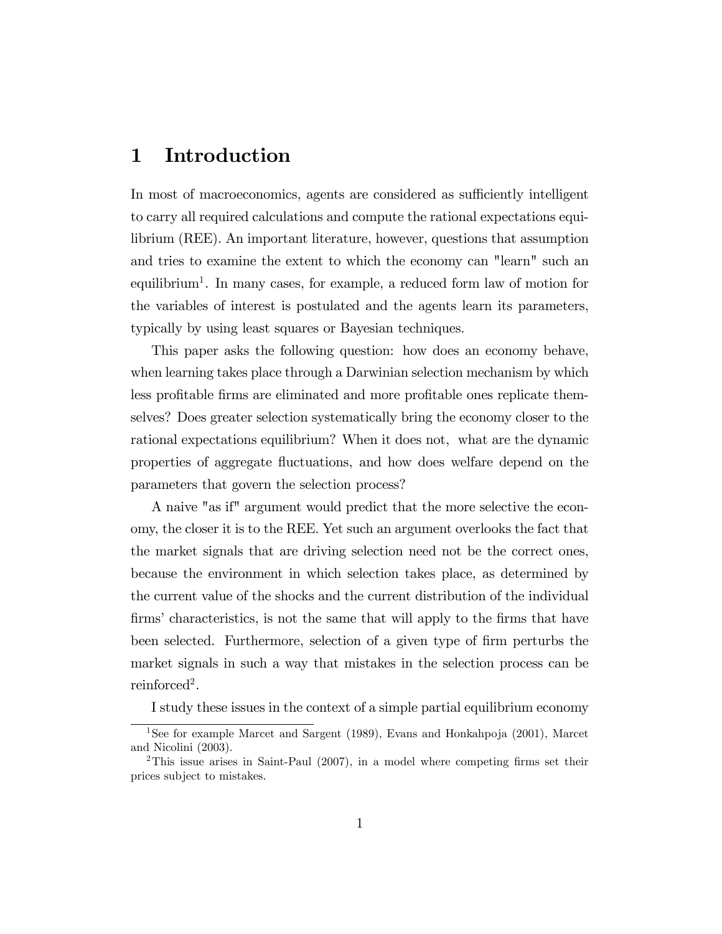# 1 Introduction

In most of macroeconomics, agents are considered as sufficiently intelligent to carry all required calculations and compute the rational expectations equilibrium (REE). An important literature, however, questions that assumption and tries to examine the extent to which the economy can "learn" such an equilibrium<sup>1</sup> . In many cases, for example, a reduced form law of motion for the variables of interest is postulated and the agents learn its parameters, typically by using least squares or Bayesian techniques.

This paper asks the following question: how does an economy behave, when learning takes place through a Darwinian selection mechanism by which less profitable firms are eliminated and more profitable ones replicate themselves? Does greater selection systematically bring the economy closer to the rational expectations equilibrium? When it does not, what are the dynamic properties of aggregate áuctuations, and how does welfare depend on the parameters that govern the selection process?

A naive "as if" argument would predict that the more selective the economy, the closer it is to the REE. Yet such an argument overlooks the fact that the market signals that are driving selection need not be the correct ones, because the environment in which selection takes place, as determined by the current value of the shocks and the current distribution of the individual firms' characteristics, is not the same that will apply to the firms that have been selected. Furthermore, selection of a given type of firm perturbs the market signals in such a way that mistakes in the selection process can be reinforced<sup>2</sup>.

I study these issues in the context of a simple partial equilibrium economy

<sup>&</sup>lt;sup>1</sup>See for example Marcet and Sargent (1989), Evans and Honkahpoja (2001), Marcet and Nicolini (2003).

<sup>&</sup>lt;sup>2</sup>This issue arises in Saint-Paul  $(2007)$ , in a model where competing firms set their prices subject to mistakes.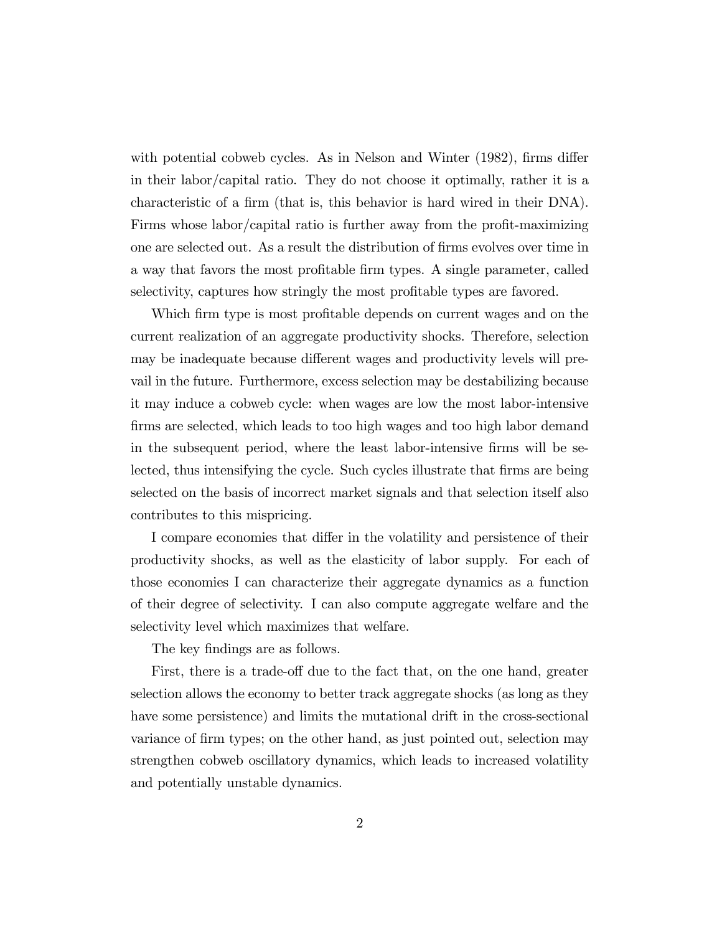with potential cobweb cycles. As in Nelson and Winter  $(1982)$ , firms differ in their labor/capital ratio. They do not choose it optimally, rather it is a characteristic of a firm (that is, this behavior is hard wired in their DNA). Firms whose labor/capital ratio is further away from the profit-maximizing one are selected out. As a result the distribution of Örms evolves over time in a way that favors the most profitable firm types. A single parameter, called selectivity, captures how stringly the most profitable types are favored.

Which firm type is most profitable depends on current wages and on the current realization of an aggregate productivity shocks. Therefore, selection may be inadequate because different wages and productivity levels will prevail in the future. Furthermore, excess selection may be destabilizing because it may induce a cobweb cycle: when wages are low the most labor-intensive firms are selected, which leads to too high wages and too high labor demand in the subsequent period, where the least labor-intensive Örms will be selected, thus intensifying the cycle. Such cycles illustrate that firms are being selected on the basis of incorrect market signals and that selection itself also contributes to this mispricing.

I compare economies that differ in the volatility and persistence of their productivity shocks, as well as the elasticity of labor supply. For each of those economies I can characterize their aggregate dynamics as a function of their degree of selectivity. I can also compute aggregate welfare and the selectivity level which maximizes that welfare.

The key findings are as follows.

First, there is a trade-off due to the fact that, on the one hand, greater selection allows the economy to better track aggregate shocks (as long as they have some persistence) and limits the mutational drift in the cross-sectional variance of firm types; on the other hand, as just pointed out, selection may strengthen cobweb oscillatory dynamics, which leads to increased volatility and potentially unstable dynamics.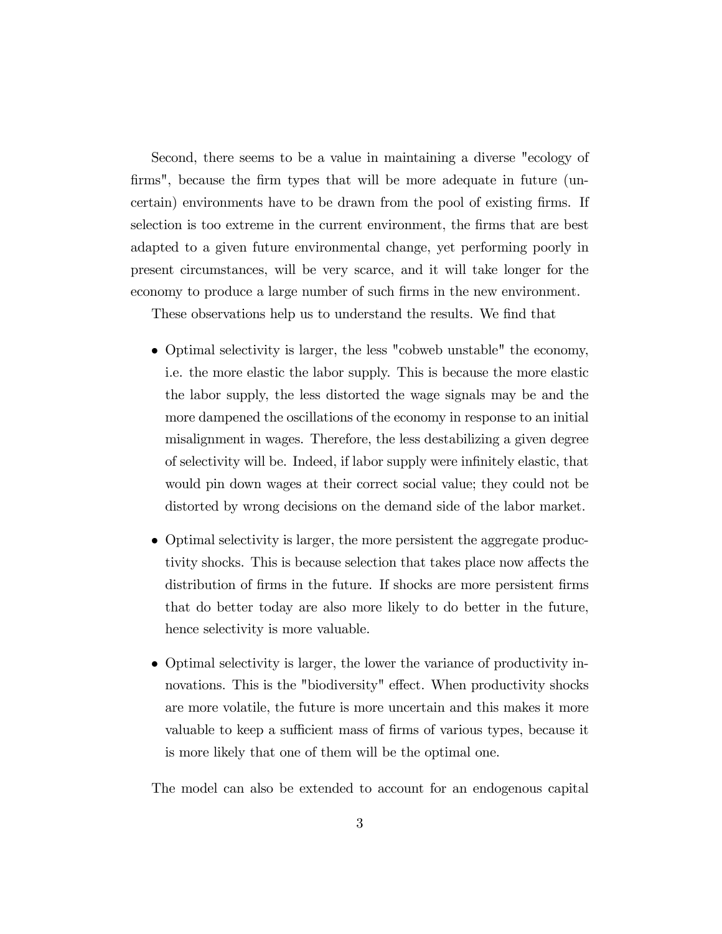Second, there seems to be a value in maintaining a diverse "ecology of firms", because the firm types that will be more adequate in future (uncertain) environments have to be drawn from the pool of existing firms. If selection is too extreme in the current environment, the Örms that are best adapted to a given future environmental change, yet performing poorly in present circumstances, will be very scarce, and it will take longer for the economy to produce a large number of such firms in the new environment.

These observations help us to understand the results. We find that

- Optimal selectivity is larger, the less "cobweb unstable" the economy, i.e. the more elastic the labor supply. This is because the more elastic the labor supply, the less distorted the wage signals may be and the more dampened the oscillations of the economy in response to an initial misalignment in wages. Therefore, the less destabilizing a given degree of selectivity will be. Indeed, if labor supply were infinitely elastic, that would pin down wages at their correct social value; they could not be distorted by wrong decisions on the demand side of the labor market.
- Optimal selectivity is larger, the more persistent the aggregate productivity shocks. This is because selection that takes place now affects the distribution of firms in the future. If shocks are more persistent firms that do better today are also more likely to do better in the future, hence selectivity is more valuable.
- Optimal selectivity is larger, the lower the variance of productivity innovations. This is the "biodiversity" effect. When productivity shocks are more volatile, the future is more uncertain and this makes it more valuable to keep a sufficient mass of firms of various types, because it is more likely that one of them will be the optimal one.

The model can also be extended to account for an endogenous capital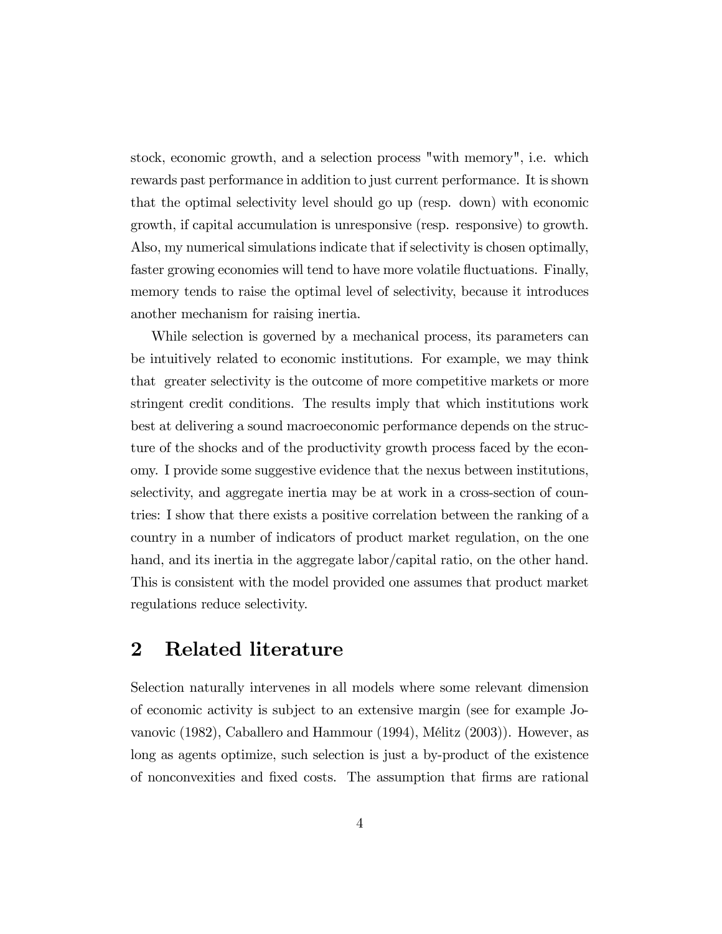stock, economic growth, and a selection process "with memory", i.e. which rewards past performance in addition to just current performance. It is shown that the optimal selectivity level should go up (resp. down) with economic growth, if capital accumulation is unresponsive (resp. responsive) to growth. Also, my numerical simulations indicate that if selectivity is chosen optimally, faster growing economies will tend to have more volatile áuctuations. Finally, memory tends to raise the optimal level of selectivity, because it introduces another mechanism for raising inertia.

While selection is governed by a mechanical process, its parameters can be intuitively related to economic institutions. For example, we may think that greater selectivity is the outcome of more competitive markets or more stringent credit conditions. The results imply that which institutions work best at delivering a sound macroeconomic performance depends on the structure of the shocks and of the productivity growth process faced by the economy. I provide some suggestive evidence that the nexus between institutions, selectivity, and aggregate inertia may be at work in a cross-section of countries: I show that there exists a positive correlation between the ranking of a country in a number of indicators of product market regulation, on the one hand, and its inertia in the aggregate labor/capital ratio, on the other hand. This is consistent with the model provided one assumes that product market regulations reduce selectivity.

# 2 Related literature

Selection naturally intervenes in all models where some relevant dimension of economic activity is subject to an extensive margin (see for example Jovanovic (1982), Caballero and Hammour (1994), MÈlitz (2003)). However, as long as agents optimize, such selection is just a by-product of the existence of nonconvexities and Öxed costs. The assumption that Örms are rational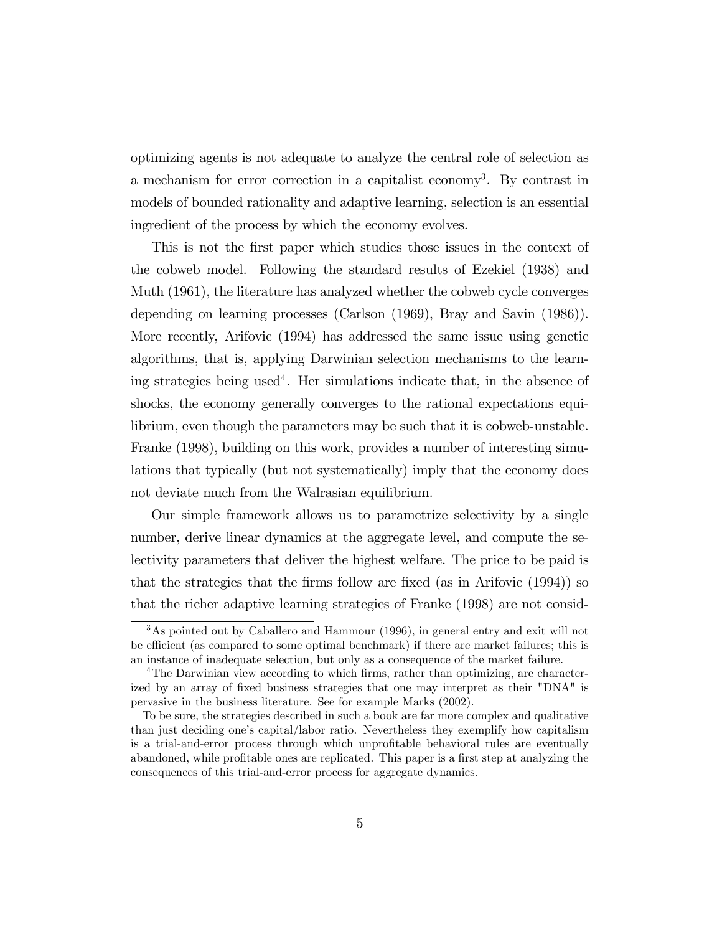optimizing agents is not adequate to analyze the central role of selection as a mechanism for error correction in a capitalist economy<sup>3</sup>. By contrast in models of bounded rationality and adaptive learning, selection is an essential ingredient of the process by which the economy evolves.

This is not the first paper which studies those issues in the context of the cobweb model. Following the standard results of Ezekiel (1938) and Muth (1961), the literature has analyzed whether the cobweb cycle converges depending on learning processes (Carlson (1969), Bray and Savin (1986)). More recently, Arifovic (1994) has addressed the same issue using genetic algorithms, that is, applying Darwinian selection mechanisms to the learning strategies being used<sup>4</sup>. Her simulations indicate that, in the absence of shocks, the economy generally converges to the rational expectations equilibrium, even though the parameters may be such that it is cobweb-unstable. Franke (1998), building on this work, provides a number of interesting simulations that typically (but not systematically) imply that the economy does not deviate much from the Walrasian equilibrium.

Our simple framework allows us to parametrize selectivity by a single number, derive linear dynamics at the aggregate level, and compute the selectivity parameters that deliver the highest welfare. The price to be paid is that the strategies that the firms follow are fixed (as in Arifovic  $(1994)$ ) so that the richer adaptive learning strategies of Franke (1998) are not consid-

<sup>3</sup>As pointed out by Caballero and Hammour (1996), in general entry and exit will not be efficient (as compared to some optimal benchmark) if there are market failures; this is an instance of inadequate selection, but only as a consequence of the market failure.

<sup>&</sup>lt;sup>4</sup>The Darwinian view according to which firms, rather than optimizing, are characterized by an array of fixed business strategies that one may interpret as their "DNA" is pervasive in the business literature. See for example Marks (2002).

To be sure, the strategies described in such a book are far more complex and qualitative than just deciding one's capital/labor ratio. Nevertheless they exemplify how capitalism is a trial-and-error process through which unprofitable behavioral rules are eventually abandoned, while profitable ones are replicated. This paper is a first step at analyzing the consequences of this trial-and-error process for aggregate dynamics.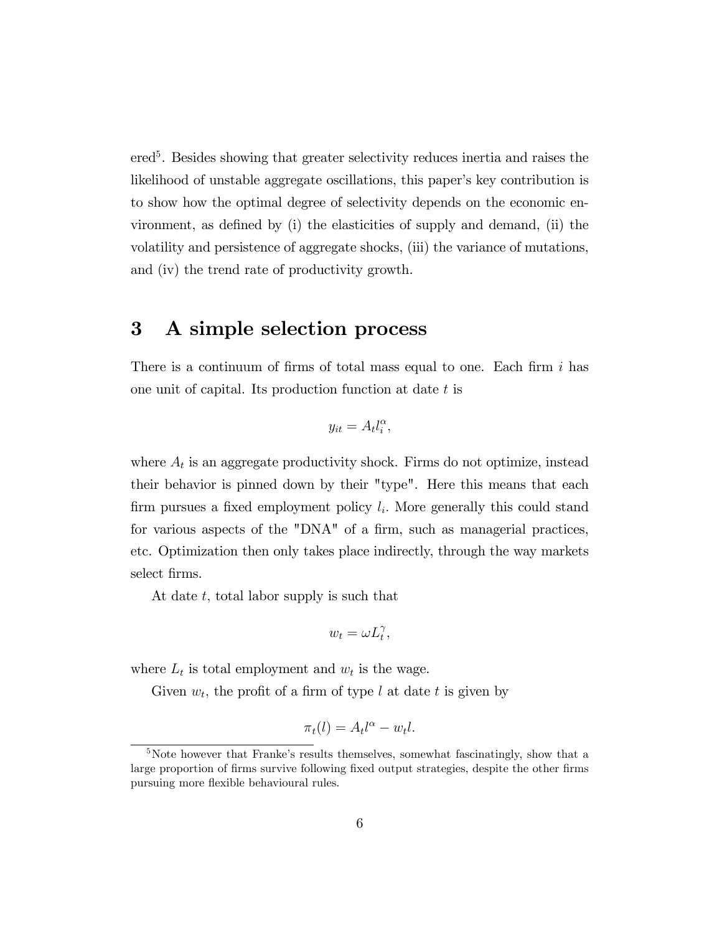ered<sup>5</sup>. Besides showing that greater selectivity reduces inertia and raises the likelihood of unstable aggregate oscillations, this paper's key contribution is to show how the optimal degree of selectivity depends on the economic environment, as defined by  $(i)$  the elasticities of supply and demand,  $(ii)$  the volatility and persistence of aggregate shocks, (iii) the variance of mutations, and (iv) the trend rate of productivity growth.

# 3 A simple selection process

There is a continuum of firms of total mass equal to one. Each firm  $i$  has one unit of capital. Its production function at date  $t$  is

$$
y_{it} = A_t l_i^{\alpha},
$$

where  $A_t$  is an aggregate productivity shock. Firms do not optimize, instead their behavior is pinned down by their "type". Here this means that each firm pursues a fixed employment policy  $l_i$ . More generally this could stand for various aspects of the " $DNA$ " of a firm, such as managerial practices, etc. Optimization then only takes place indirectly, through the way markets select firms.

At date  $t$ , total labor supply is such that

$$
w_t = \omega L_t^{\gamma},
$$

where  $L_t$  is total employment and  $w_t$  is the wage.

Given  $w_t$ , the profit of a firm of type l at date t is given by

$$
\pi_t(l) = A_t l^{\alpha} - w_t l.
$$

<sup>&</sup>lt;sup>5</sup>Note however that Franke's results themselves, somewhat fascinatingly, show that a large proportion of firms survive following fixed output strategies, despite the other firms pursuing more flexible behavioural rules.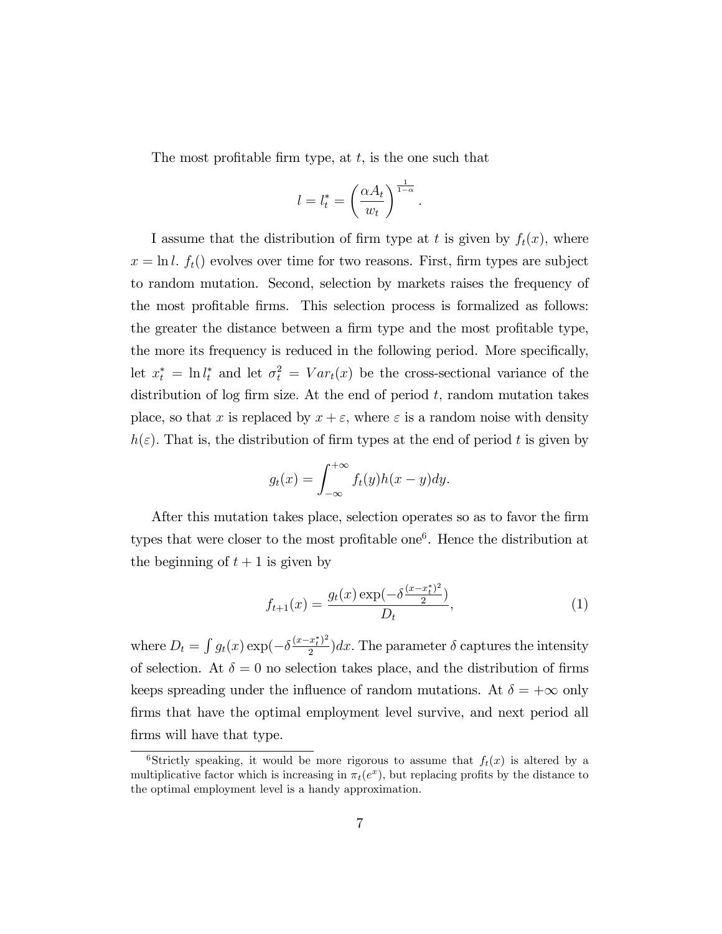The most profitable firm type, at  $t$ , is the one such that

$$
l = l_t^* = \left(\frac{\alpha A_t}{w_t}\right)^{\frac{1}{1-\alpha}}.
$$

I assume that the distribution of firm type at t is given by  $f_t(x)$ , where  $x = \ln l$ .  $f_t$ ) evolves over time for two reasons. First, firm types are subject to random mutation. Second, selection by markets raises the frequency of the most profitable firms. This selection process is formalized as follows: the greater the distance between a firm type and the most profitable type, the more its frequency is reduced in the following period. More specifically, let  $x_t^* = \ln l_t^*$  and let  $\sigma_t^2 = Var_t(x)$  be the cross-sectional variance of the distribution of log firm size. At the end of period  $t$ , random mutation takes place, so that x is replaced by  $x + \varepsilon$ , where  $\varepsilon$  is a random noise with density  $h(\varepsilon)$ . That is, the distribution of firm types at the end of period t is given by

$$
g_t(x) = \int_{-\infty}^{+\infty} f_t(y)h(x - y)dy.
$$

After this mutation takes place, selection operates so as to favor the firm types that were closer to the most profitable one<sup>6</sup>. Hence the distribution at the beginning of  $t + 1$  is given by

$$
f_{t+1}(x) = \frac{g_t(x) \exp(-\delta \frac{(x - x_t^*)^2}{2})}{D_t},\tag{1}
$$

where  $D_t = \int g_t(x) \exp(-\delta \frac{(x - x_t^*)^2}{2})$  $\frac{x_i}{2}$ )dx. The parameter  $\delta$  captures the intensity of selection. At  $\delta = 0$  no selection takes place, and the distribution of firms keeps spreading under the influence of random mutations. At  $\delta = +\infty$  only firms that have the optimal employment level survive, and next period all firms will have that type.

<sup>&</sup>lt;sup>6</sup>Strictly speaking, it would be more rigorous to assume that  $f_t(x)$  is altered by a multiplicative factor which is increasing in  $\pi_t(e^x)$ , but replacing profits by the distance to the optimal employment level is a handy approximation.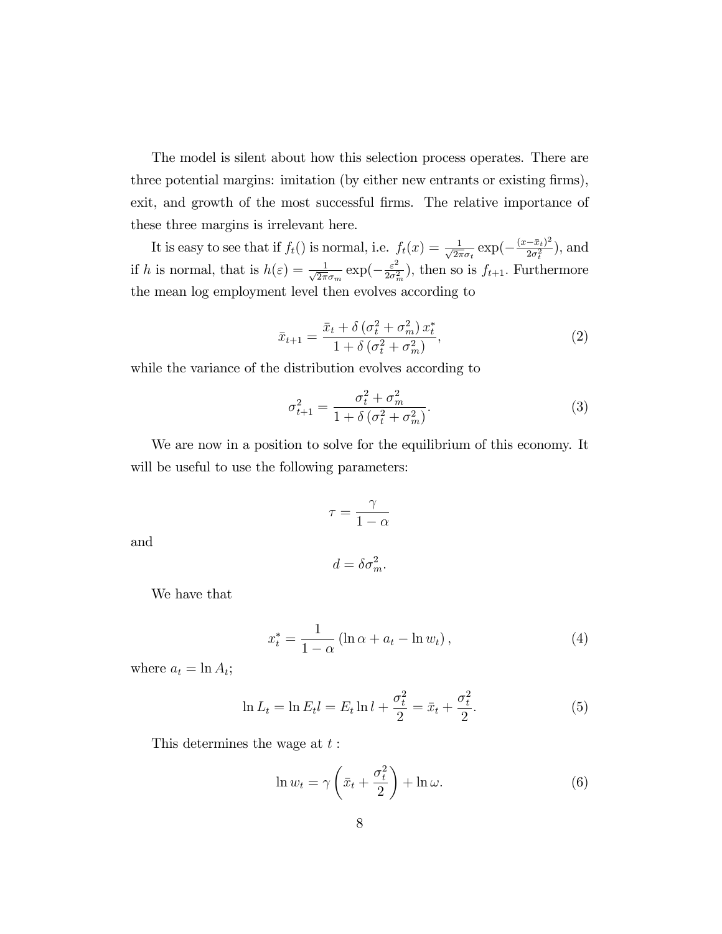The model is silent about how this selection process operates. There are three potential margins: imitation (by either new entrants or existing firms), exit, and growth of the most successful firms. The relative importance of these three margins is irrelevant here.

It is easy to see that if  $f_t()$  is normal, i.e.  $f_t(x) = \frac{1}{\sqrt{2\pi}}$  $\frac{1}{2\pi\sigma_t} \exp(-\frac{(x-\bar{x}_t)^2}{2\sigma_t^2})$  $\frac{-x_t)^2}{2\sigma_t^2}$ ), and if h is normal, that is  $h(\varepsilon) = \frac{1}{\sqrt{2\pi}}$  $\frac{1}{2\pi\sigma_m} \exp\left(-\frac{\varepsilon^2}{2\sigma_r^2}\right)$  $\frac{\varepsilon^2}{2\sigma_m^2}$ , then so is  $f_{t+1}$ . Furthermore the mean log employment level then evolves according to

$$
\bar{x}_{t+1} = \frac{\bar{x}_t + \delta\left(\sigma_t^2 + \sigma_m^2\right)x_t^*}{1 + \delta\left(\sigma_t^2 + \sigma_m^2\right)},\tag{2}
$$

while the variance of the distribution evolves according to

$$
\sigma_{t+1}^2 = \frac{\sigma_t^2 + \sigma_m^2}{1 + \delta \left(\sigma_t^2 + \sigma_m^2\right)}.\tag{3}
$$

We are now in a position to solve for the equilibrium of this economy. It will be useful to use the following parameters:

$$
\tau = \frac{\gamma}{1 - \alpha}
$$

and

$$
d = \delta \sigma_m^2.
$$

We have that

$$
x_t^* = \frac{1}{1 - \alpha} \left( \ln \alpha + a_t - \ln w_t \right),\tag{4}
$$

where  $a_t = \ln A_t$ ;

$$
\ln L_t = \ln E_t l = E_t \ln l + \frac{\sigma_t^2}{2} = \bar{x}_t + \frac{\sigma_t^2}{2}.
$$
 (5)

This determines the wage at  $t$ :

$$
\ln w_t = \gamma \left(\bar{x}_t + \frac{\sigma_t^2}{2}\right) + \ln \omega. \tag{6}
$$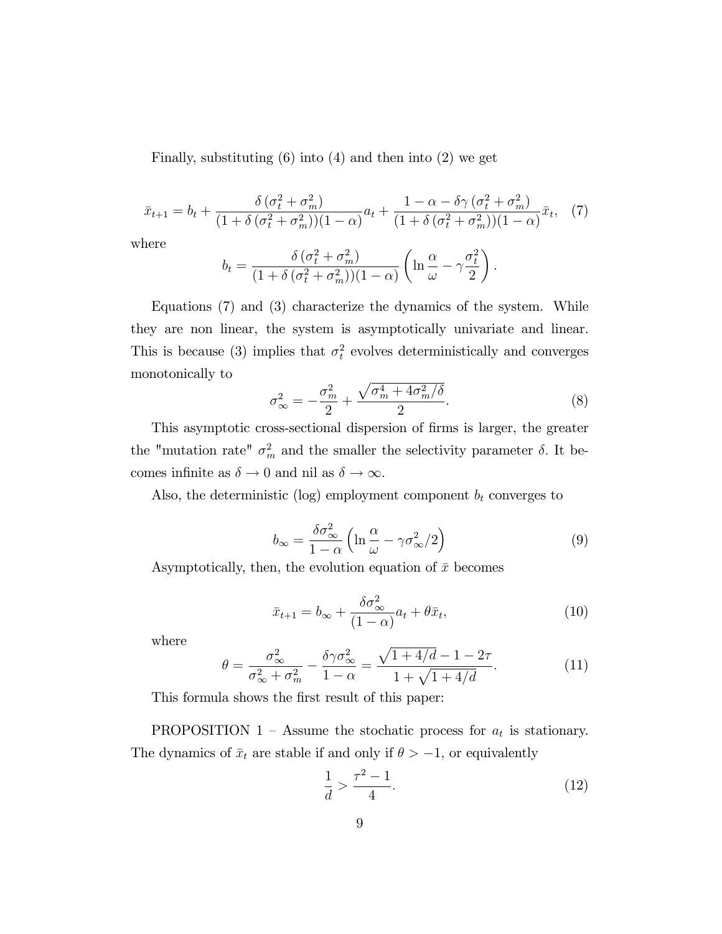Finally, substituting (6) into (4) and then into (2) we get

$$
\bar{x}_{t+1} = b_t + \frac{\delta \left(\sigma_t^2 + \sigma_m^2\right)}{(1 + \delta \left(\sigma_t^2 + \sigma_m^2\right))(1 - \alpha)} a_t + \frac{1 - \alpha - \delta \gamma \left(\sigma_t^2 + \sigma_m^2\right)}{(1 + \delta \left(\sigma_t^2 + \sigma_m^2\right))(1 - \alpha)} \bar{x}_t, \tag{7}
$$

where

$$
b_t = \frac{\delta (\sigma_t^2 + \sigma_m^2)}{(1 + \delta (\sigma_t^2 + \sigma_m^2))(1 - \alpha)} \left( \ln \frac{\alpha}{\omega} - \gamma \frac{\sigma_t^2}{2} \right).
$$

Equations (7) and (3) characterize the dynamics of the system. While they are non linear, the system is asymptotically univariate and linear. This is because (3) implies that  $\sigma_t^2$  evolves deterministically and converges monotonically to

$$
\sigma_{\infty}^2 = -\frac{\sigma_m^2}{2} + \frac{\sqrt{\sigma_m^4 + 4\sigma_m^2/\delta}}{2}.
$$
\n(8)

This asymptotic cross-sectional dispersion of Örms is larger, the greater the "mutation rate"  $\sigma_m^2$  and the smaller the selectivity parameter  $\delta$ . It becomes infinite as  $\delta \to 0$  and nil as  $\delta \to \infty$ .

Also, the deterministic (log) employment component  $b_t$  converges to

$$
b_{\infty} = \frac{\delta \sigma_{\infty}^2}{1 - \alpha} \left( \ln \frac{\alpha}{\omega} - \gamma \sigma_{\infty}^2 / 2 \right)
$$
 (9)

Asymptotically, then, the evolution equation of  $\bar{x}$  becomes

$$
\bar{x}_{t+1} = b_{\infty} + \frac{\delta \sigma_{\infty}^2}{(1 - \alpha)} a_t + \theta \bar{x}_t, \tag{10}
$$

where

$$
\theta = \frac{\sigma_{\infty}^2}{\sigma_{\infty}^2 + \sigma_m^2} - \frac{\delta \gamma \sigma_{\infty}^2}{1 - \alpha} = \frac{\sqrt{1 + 4/d} - 1 - 2\tau}{1 + \sqrt{1 + 4/d}}.
$$
(11)

This formula shows the first result of this paper:

PROPOSITION 1 – Assume the stochatic process for  $a_t$  is stationary. The dynamics of  $\bar{x}_t$  are stable if and only if  $\theta > -1$ , or equivalently

$$
\frac{1}{d} > \frac{\tau^2 - 1}{4}.\tag{12}
$$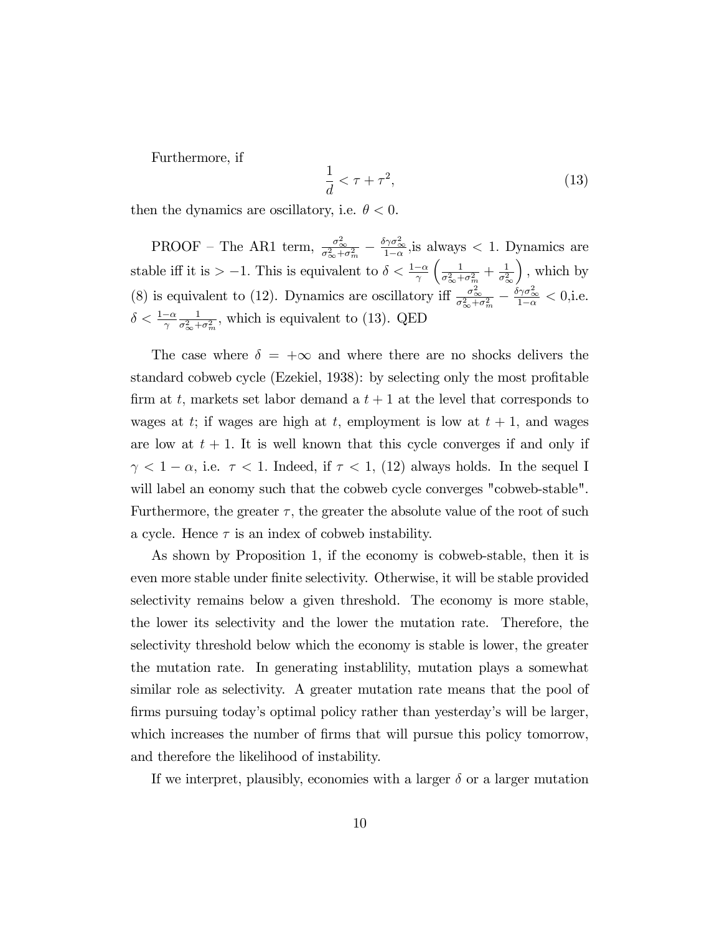Furthermore, if

$$
\frac{1}{d} < \tau + \tau^2,\tag{13}
$$

then the dynamics are oscillatory, i.e.  $\theta < 0$ .

PROOF – The AR1 term,  $\frac{\sigma_{\infty}^2}{\sigma_{\infty}^2 + \sigma_m^2} - \frac{\delta \gamma \sigma_{\infty}^2}{1 - \alpha}$  $\frac{\gamma \sigma_{\infty}}{1-\alpha}$ , is always < 1. Dynamics are stable iff it is  $> -1$ . This is equivalent to  $\delta < \frac{1-\alpha}{\gamma}$  $\begin{pmatrix} 1 \end{pmatrix}$  $\frac{1}{\sigma_{\infty}^2+\sigma_m^2}+\frac{1}{\sigma_{\circ}^2}$  $\sigma_{\infty}^2$  $\big)$ , which by (8) is equivalent to (12). Dynamics are oscillatory iff  $\frac{\sigma_{\infty}^2}{\sigma_{\infty}^2 + \sigma_m^2} - \frac{\delta \gamma \sigma_{\infty}^2}{1 - \alpha} < 0$ , i.e.  $\delta < \frac{1-\alpha}{\gamma}$ 1  $\frac{1}{\sigma_{\infty}^2+\sigma_m^2}$ , which is equivalent to (13). QED

The case where  $\delta = +\infty$  and where there are no shocks delivers the standard cobweb cycle (Ezekiel, 1938): by selecting only the most profitable firm at t, markets set labor demand a  $t + 1$  at the level that corresponds to wages at t; if wages are high at t, employment is low at  $t + 1$ , and wages are low at  $t + 1$ . It is well known that this cycle converges if and only if  $\gamma$  < 1 –  $\alpha$ , i.e.  $\tau$  < 1. Indeed, if  $\tau$  < 1, (12) always holds. In the sequel I will label an eonomy such that the cobweb cycle converges "cobweb-stable". Furthermore, the greater  $\tau$ , the greater the absolute value of the root of such a cycle. Hence  $\tau$  is an index of cobweb instability.

As shown by Proposition 1, if the economy is cobweb-stable, then it is even more stable under Önite selectivity. Otherwise, it will be stable provided selectivity remains below a given threshold. The economy is more stable, the lower its selectivity and the lower the mutation rate. Therefore, the selectivity threshold below which the economy is stable is lower, the greater the mutation rate. In generating instablility, mutation plays a somewhat similar role as selectivity. A greater mutation rate means that the pool of firms pursuing today's optimal policy rather than yesterday's will be larger, which increases the number of firms that will pursue this policy tomorrow, and therefore the likelihood of instability.

If we interpret, plausibly, economies with a larger  $\delta$  or a larger mutation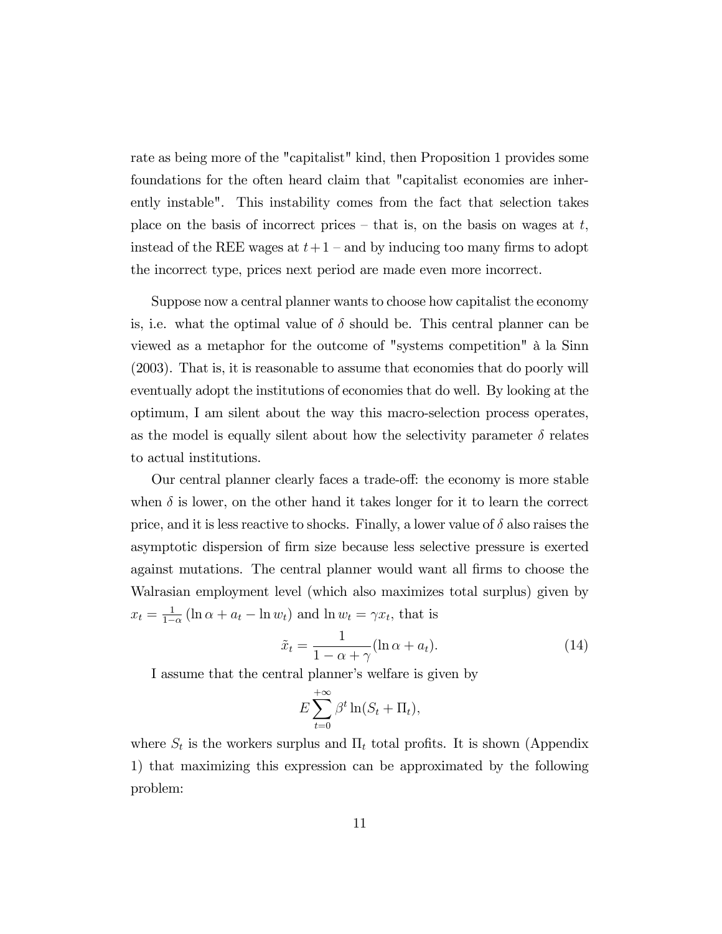rate as being more of the "capitalist" kind, then Proposition 1 provides some foundations for the often heard claim that "capitalist economies are inherently instable". This instability comes from the fact that selection takes place on the basis of incorrect prices – that is, on the basis on wages at  $t$ , instead of the REE wages at  $t+1$  – and by inducing too many firms to adopt the incorrect type, prices next period are made even more incorrect.

Suppose now a central planner wants to choose how capitalist the economy is, i.e. what the optimal value of  $\delta$  should be. This central planner can be viewed as a metaphor for the outcome of "systems competition" à la Sinn (2003). That is, it is reasonable to assume that economies that do poorly will eventually adopt the institutions of economies that do well. By looking at the optimum, I am silent about the way this macro-selection process operates, as the model is equally silent about how the selectivity parameter  $\delta$  relates to actual institutions.

Our central planner clearly faces a trade-off: the economy is more stable when  $\delta$  is lower, on the other hand it takes longer for it to learn the correct price, and it is less reactive to shocks. Finally, a lower value of  $\delta$  also raises the asymptotic dispersion of Örm size because less selective pressure is exerted against mutations. The central planner would want all firms to choose the Walrasian employment level (which also maximizes total surplus) given by  $x_t = \frac{1}{1-1}$  $\frac{1}{1-\alpha}(\ln \alpha + a_t - \ln w_t)$  and  $\ln w_t = \gamma x_t$ , that is

$$
\tilde{x}_t = \frac{1}{1 - \alpha + \gamma} (\ln \alpha + a_t). \tag{14}
$$

I assume that the central planner's welfare is given by

$$
E\sum_{t=0}^{+\infty}\beta^t\ln(S_t+\Pi_t),
$$

where  $S_t$  is the workers surplus and  $\Pi_t$  total profits. It is shown (Appendix 1) that maximizing this expression can be approximated by the following problem: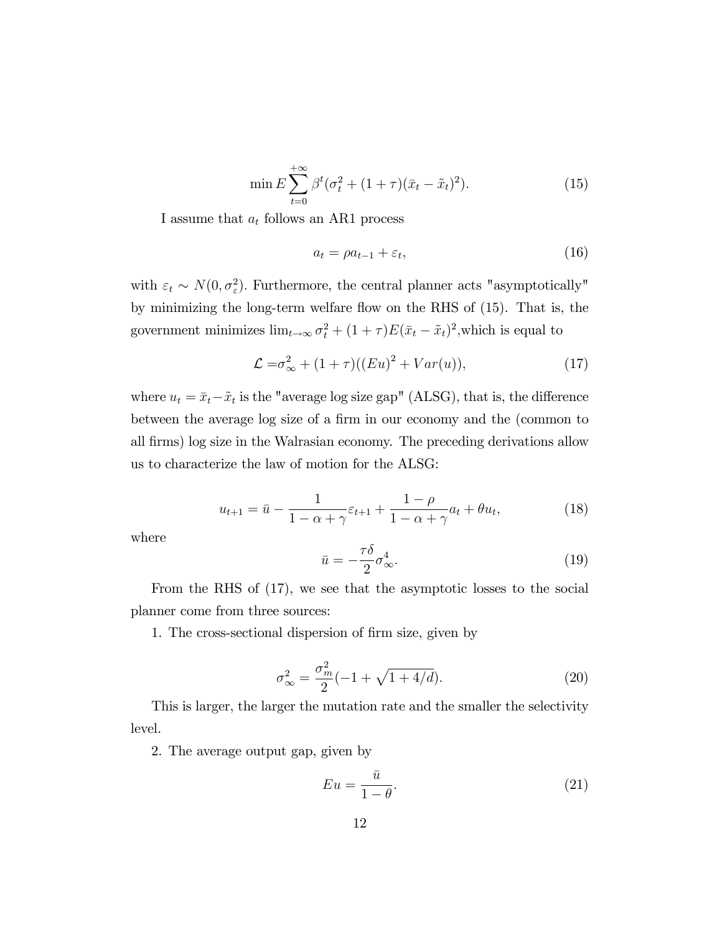$$
\min E \sum_{t=0}^{+\infty} \beta^t (\sigma_t^2 + (1+\tau)(\bar{x}_t - \tilde{x}_t)^2). \tag{15}
$$

I assume that  $a_t$  follows an AR1 process

$$
a_t = \rho a_{t-1} + \varepsilon_t,\tag{16}
$$

with  $\varepsilon_t \sim N(0, \sigma_{\varepsilon}^2)$ . Furthermore, the central planner acts "asymptotically" by minimizing the long-term welfare áow on the RHS of (15). That is, the government minimizes  $\lim_{t\to\infty} \sigma_t^2 + (1+\tau)E(\bar{x}_t - \tilde{x}_t)^2$ , which is equal to

$$
\mathcal{L} = \sigma_{\infty}^2 + (1 + \tau)((Eu)^2 + Var(u)),\tag{17}
$$

where  $u_t = \bar{x}_t - \tilde{x}_t$  is the "average log size gap" (ALSG), that is, the difference between the average log size of a firm in our economy and the (common to all Örms) log size in the Walrasian economy. The preceding derivations allow us to characterize the law of motion for the ALSG:

$$
u_{t+1} = \bar{u} - \frac{1}{1 - \alpha + \gamma} \varepsilon_{t+1} + \frac{1 - \rho}{1 - \alpha + \gamma} a_t + \theta u_t, \tag{18}
$$

where

$$
\bar{u} = -\frac{\tau \delta}{2} \sigma_{\infty}^4.
$$
\n(19)

From the RHS of (17), we see that the asymptotic losses to the social planner come from three sources:

1. The cross-sectional dispersion of firm size, given by

$$
\sigma_{\infty}^{2} = \frac{\sigma_{m}^{2}}{2}(-1 + \sqrt{1 + 4/d}).
$$
\n(20)

This is larger, the larger the mutation rate and the smaller the selectivity level.

2. The average output gap, given by

$$
Eu = \frac{\bar{u}}{1 - \theta}.\tag{21}
$$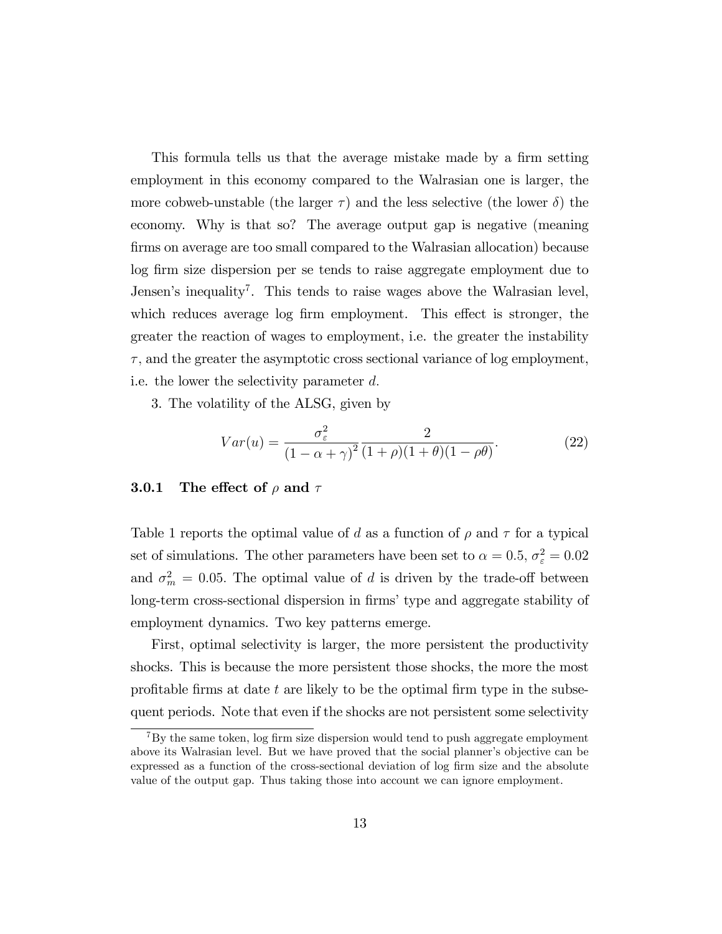This formula tells us that the average mistake made by a firm setting employment in this economy compared to the Walrasian one is larger, the more cobweb-unstable (the larger  $\tau$ ) and the less selective (the lower  $\delta$ ) the economy. Why is that so? The average output gap is negative (meaning firms on average are too small compared to the Walrasian allocation) because log Örm size dispersion per se tends to raise aggregate employment due to Jensen's inequality<sup>7</sup>. This tends to raise wages above the Walrasian level, which reduces average log firm employment. This effect is stronger, the greater the reaction of wages to employment, i.e. the greater the instability  $\tau$ , and the greater the asymptotic cross sectional variance of log employment, i.e. the lower the selectivity parameter  $d$ .

3. The volatility of the ALSG, given by

$$
Var(u) = \frac{\sigma_{\varepsilon}^2}{\left(1 - \alpha + \gamma\right)^2} \frac{2}{(1 + \rho)(1 + \theta)(1 - \rho\theta)}.
$$
\n(22)

### **3.0.1** The effect of  $\rho$  and  $\tau$

Table 1 reports the optimal value of d as a function of  $\rho$  and  $\tau$  for a typical set of simulations. The other parameters have been set to  $\alpha = 0.5$ ,  $\sigma_{\varepsilon}^2 = 0.02$ and  $\sigma_m^2 = 0.05$ . The optimal value of d is driven by the trade-off between long-term cross-sectional dispersion in firms' type and aggregate stability of employment dynamics. Two key patterns emerge.

First, optimal selectivity is larger, the more persistent the productivity shocks. This is because the more persistent those shocks, the more the most profitable firms at date t are likely to be the optimal firm type in the subsequent periods. Note that even if the shocks are not persistent some selectivity

 $7By$  the same token, log firm size dispersion would tend to push aggregate employment above its Walrasian level. But we have proved that the social planner's objective can be expressed as a function of the cross-sectional deviation of log firm size and the absolute value of the output gap. Thus taking those into account we can ignore employment.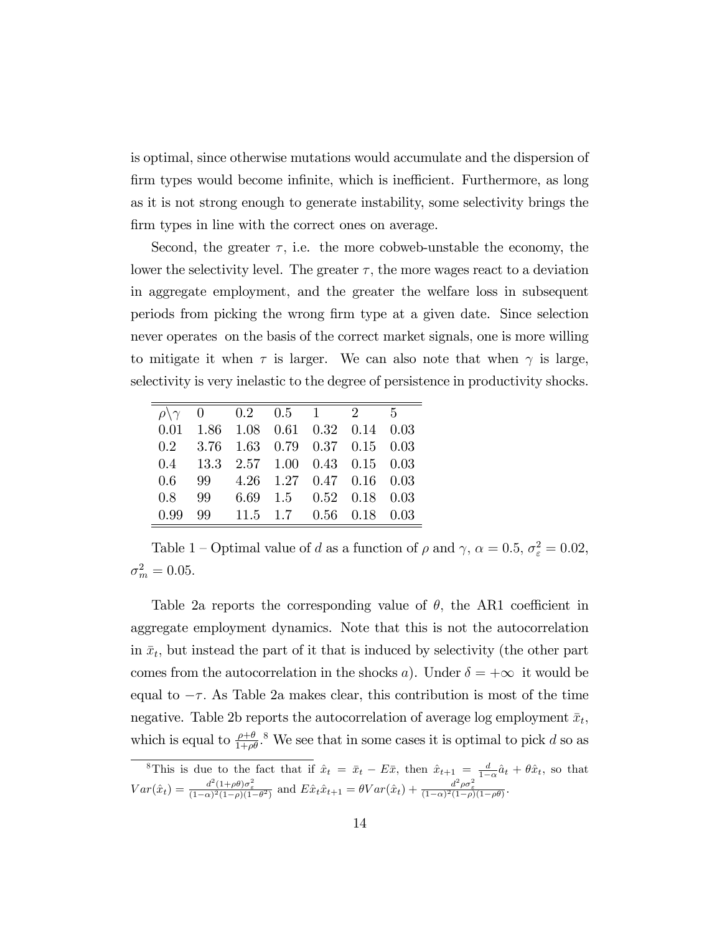is optimal, since otherwise mutations would accumulate and the dispersion of firm types would become infinite, which is inefficient. Furthermore, as long as it is not strong enough to generate instability, some selectivity brings the firm types in line with the correct ones on average.

Second, the greater  $\tau$ , i.e. the more cobweb-unstable the economy, the lower the selectivity level. The greater  $\tau$ , the more wages react to a deviation in aggregate employment, and the greater the welfare loss in subsequent periods from picking the wrong Örm type at a given date. Since selection never operates on the basis of the correct market signals, one is more willing to mitigate it when  $\tau$  is larger. We can also note that when  $\gamma$  is large, selectivity is very inelastic to the degree of persistence in productivity shocks.

|  | $\rho \gamma \quad 0 \quad 0.2 \quad 0.5 \quad 1 \quad 2 \quad 5$ |  |  |
|--|-------------------------------------------------------------------|--|--|
|  | $0.01$ 1.86 1.08 0.61 0.32 0.14 0.03                              |  |  |
|  | $0.2$ $3.76$ $1.63$ $0.79$ $0.37$ $0.15$ $0.03$                   |  |  |
|  | $0.4$ 13.3 2.57 1.00 0.43 0.15 0.03                               |  |  |
|  | $0.6$ 99 4.26 1.27 0.47 0.16 0.03                                 |  |  |
|  | 0.8 99 6.69 1.5 0.52 0.18 0.03                                    |  |  |
|  | $0.99$ 99 11.5 1.7 0.56 0.18 0.03                                 |  |  |

Table 1 – Optimal value of d as a function of  $\rho$  and  $\gamma$ ,  $\alpha = 0.5$ ,  $\sigma_{\varepsilon}^2 = 0.02$ ,  $\sigma_m^2 = 0.05.$ 

Table 2a reports the corresponding value of  $\theta$ , the AR1 coefficient in aggregate employment dynamics. Note that this is not the autocorrelation in  $\bar{x}_t$ , but instead the part of it that is induced by selectivity (the other part comes from the autocorrelation in the shocks a). Under  $\delta = +\infty$  it would be equal to  $-\tau$ . As Table 2a makes clear, this contribution is most of the time negative. Table 2b reports the autocorrelation of average log employment  $\bar{x}_t$ , which is equal to  $\frac{\rho+\theta}{1+\rho\theta}$ .<sup>8</sup> We see that in some cases it is optimal to pick d so as

<sup>&</sup>lt;sup>8</sup>This is due to the fact that if  $\hat{x}_t = \bar{x}_t - E\bar{x}$ , then  $\hat{x}_{t+1} = \frac{d}{1-\alpha}\hat{a}_t + \theta\hat{x}_t$ , so that  $Var(\hat{x}_t) = \frac{d^2(1+\rho\theta)\sigma_{\varepsilon}^2}{(1-\alpha)^2(1-\rho)(1-\theta^2)}$  and  $E\hat{x}_t\hat{x}_{t+1} = \theta Var(\hat{x}_t) + \frac{d^2\rho\sigma_{\varepsilon}^2}{(1-\alpha)^2(1-\rho)(1-\rho\theta)}$ .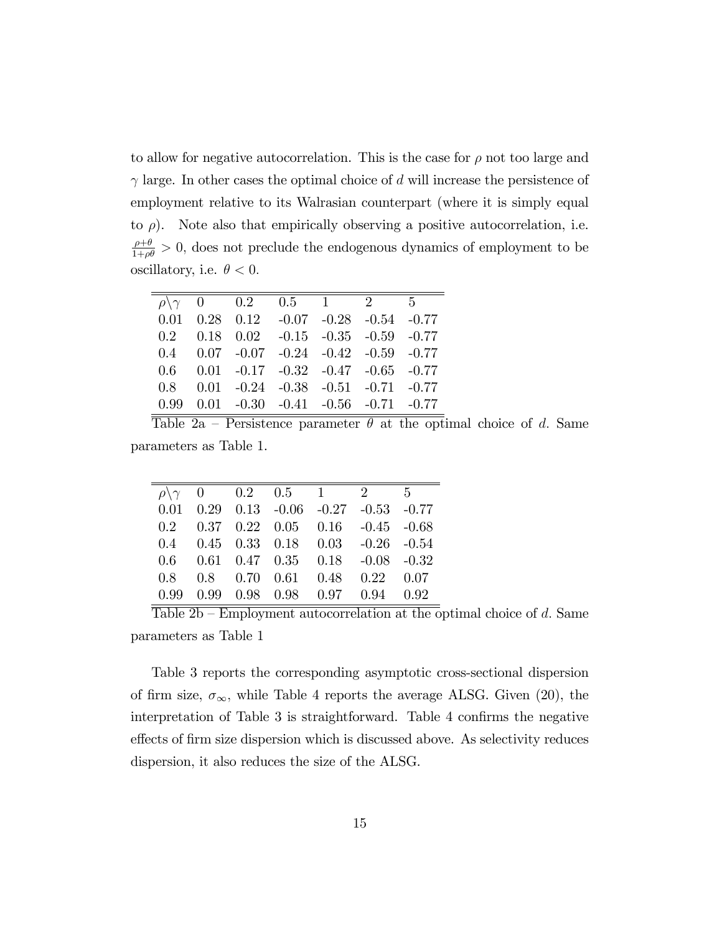to allow for negative autocorrelation. This is the case for  $\rho$  not too large and  $\gamma$  large. In other cases the optimal choice of d will increase the persistence of employment relative to its Walrasian counterpart (where it is simply equal to  $\rho$ ). Note also that empirically observing a positive autocorrelation, i.e.  $\frac{\rho+\theta}{1+\rho\theta} > 0$ , does not preclude the endogenous dynamics of employment to be oscillatory, i.e.  $\theta < 0$ .

|  | $\rho \gamma \quad 0 \quad 0.2 \quad 0.5 \quad 1 \quad 2 \quad 5$ |  |  |
|--|-------------------------------------------------------------------|--|--|
|  | $0.01$ $0.28$ $0.12$ $-0.07$ $-0.28$ $-0.54$ $-0.77$              |  |  |
|  | $0.2$ $0.18$ $0.02$ $-0.15$ $-0.35$ $-0.59$ $-0.77$               |  |  |
|  | $0.4$ $0.07$ $-0.07$ $-0.24$ $-0.42$ $-0.59$ $-0.77$              |  |  |
|  | $0.6$ $0.01$ $-0.17$ $-0.32$ $-0.47$ $-0.65$ $-0.77$              |  |  |
|  | $0.8$ $0.01$ $-0.24$ $-0.38$ $-0.51$ $-0.71$ $-0.77$              |  |  |
|  | $0.99$ $0.01$ $-0.30$ $-0.41$ $-0.56$ $-0.71$ $-0.77$             |  |  |

Table 2a – Persistence parameter  $\theta$  at the optimal choice of d. Same parameters as Table 1.

|  | $\rho \backslash \gamma$ 0 0.2 0.5 1 2 5             |  |  |
|--|------------------------------------------------------|--|--|
|  | $0.01$ $0.29$ $0.13$ $-0.06$ $-0.27$ $-0.53$ $-0.77$ |  |  |
|  | $0.2$ $0.37$ $0.22$ $0.05$ $0.16$ $-0.45$ $-0.68$    |  |  |
|  | $0.4$ $0.45$ $0.33$ $0.18$ $0.03$ $-0.26$ $-0.54$    |  |  |
|  | $0.6$ $0.61$ $0.47$ $0.35$ $0.18$ $-0.08$ $-0.32$    |  |  |
|  | 0.8 0.8 0.70 0.61 0.48 0.22 0.07                     |  |  |
|  | 0.99 0.99 0.98 0.98 0.97 0.94 0.92                   |  |  |

 $\overline{\text{Table 2b - Employment autocorrelation at the optimal choice of } d. \text{ Same}}$ parameters as Table 1

Table 3 reports the corresponding asymptotic cross-sectional dispersion of firm size,  $\sigma_{\infty}$ , while Table 4 reports the average ALSG. Given (20), the interpretation of Table 3 is straightforward. Table 4 confirms the negative effects of firm size dispersion which is discussed above. As selectivity reduces dispersion, it also reduces the size of the ALSG.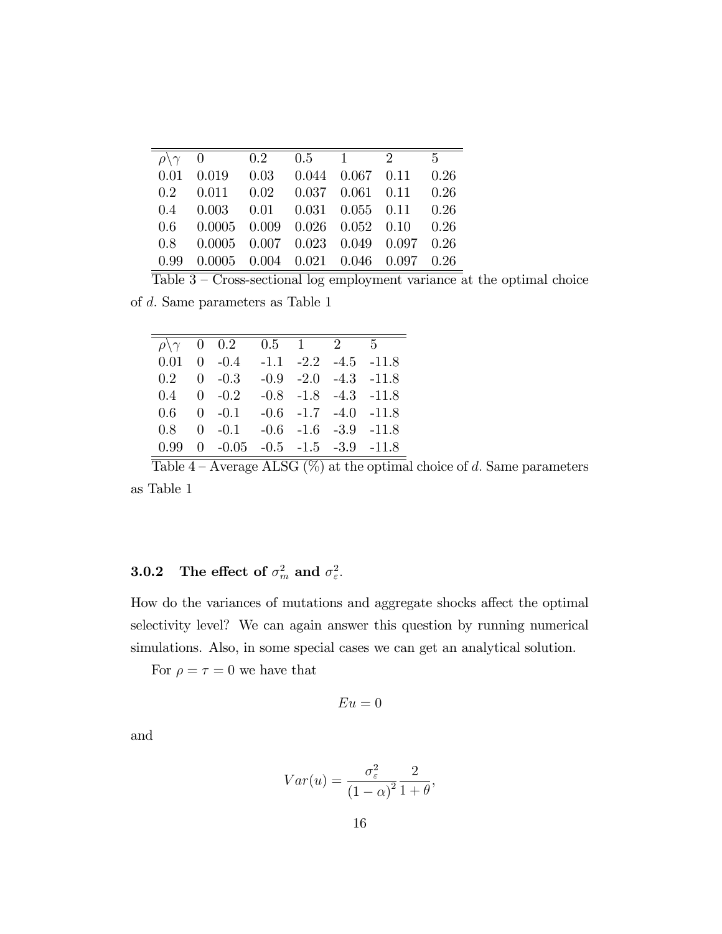| $\overline{\rho \setminus \gamma}$ 0 0.2 0.5 1 2       |  |  | $\overline{5}$ |
|--------------------------------------------------------|--|--|----------------|
| $0.01$ $0.019$ $0.03$ $0.044$ $0.067$ $0.11$ $0.26$    |  |  |                |
| $0.2$ $0.011$ $0.02$ $0.037$ $0.061$ $0.11$ $0.26$     |  |  |                |
| $0.4$ $0.003$ $0.01$ $0.031$ $0.055$ $0.11$ $0.26$     |  |  |                |
| $0.6$ $0.0005$ $0.009$ $0.026$ $0.052$ $0.10$ $0.26$   |  |  |                |
| $0.8$ $0.0005$ $0.007$ $0.023$ $0.049$ $0.097$ $0.26$  |  |  |                |
| $0.99$ $0.0005$ $0.004$ $0.021$ $0.046$ $0.097$ $0.26$ |  |  |                |

 $\overline{\text{Table 3} - \text{Cross-sectional log employment variance}}$  at the optimal choice

of d: Same parameters as Table 1

|                          | $\rho \backslash \gamma = 0$ 0.2                                       | $0.5 \quad 1 \quad 2 \quad 5$ |  |                              |
|--------------------------|------------------------------------------------------------------------|-------------------------------|--|------------------------------|
|                          | $0.01 \quad 0 \quad -0.4 \quad -1.1 \quad -2.2 \quad -4.5 \quad -11.8$ |                               |  |                              |
| $0.2 \quad 0 \quad -0.3$ |                                                                        |                               |  | $-0.9$ $-2.0$ $-4.3$ $-11.8$ |
| $0.4 \quad 0 \quad -0.2$ |                                                                        |                               |  | $-0.8$ $-1.8$ $-4.3$ $-11.8$ |
|                          | $0.6$ $0$ $-0.1$ $-0.6$ $-1.7$ $-4.0$ $-11.8$                          |                               |  |                              |
|                          | $0.8 \quad 0 \quad -0.1$                                               |                               |  | $-0.6$ $-1.6$ $-3.9$ $-11.8$ |
| 0.99                     | $0 -0.05 -0.5 -1.5 -3.9 -11.8$                                         |                               |  |                              |

Table  $4 -$ Average ALSG (%) at the optimal choice of d. Same parameters as Table 1

### **3.0.2** The effect of  $\sigma_m^2$  and  $\sigma_{\varepsilon}^2$ .

How do the variances of mutations and aggregate shocks affect the optimal selectivity level? We can again answer this question by running numerical simulations. Also, in some special cases we can get an analytical solution.

For  $\rho=\tau=0$  we have that

$$
Eu=0
$$

and

$$
Var(u) = \frac{\sigma_{\varepsilon}^2}{\left(1 - \alpha\right)^2} \frac{2}{1 + \theta},
$$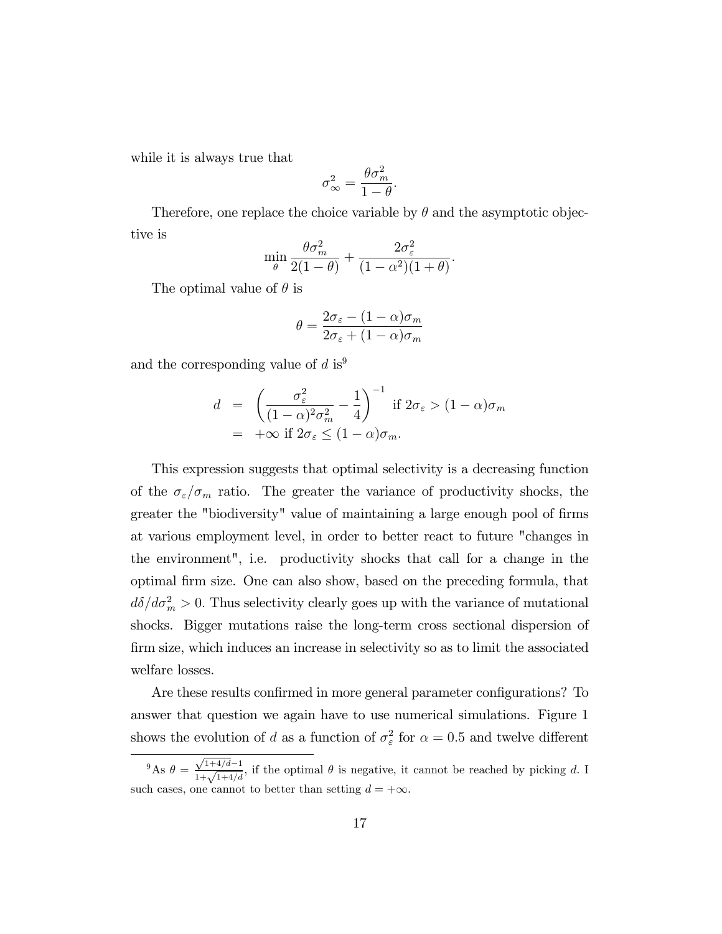while it is always true that

$$
\sigma_{\infty}^2 = \frac{\theta \sigma_m^2}{1 - \theta}.
$$

Therefore, one replace the choice variable by  $\theta$  and the asymptotic objective is

$$
\min_{\theta} \frac{\theta \sigma_m^2}{2(1-\theta)} + \frac{2\sigma_{\varepsilon}^2}{(1-\alpha^2)(1+\theta)}.
$$

The optimal value of  $\theta$  is

$$
\theta = \frac{2\sigma_{\varepsilon} - (1 - \alpha)\sigma_m}{2\sigma_{\varepsilon} + (1 - \alpha)\sigma_m}
$$

and the corresponding value of d is<sup>9</sup>

$$
d = \left(\frac{\sigma_{\varepsilon}^2}{(1-\alpha)^2 \sigma_m^2} - \frac{1}{4}\right)^{-1} \text{ if } 2\sigma_{\varepsilon} > (1-\alpha)\sigma_m
$$
  
=  $+\infty$  if  $2\sigma_{\varepsilon} \le (1-\alpha)\sigma_m$ .

This expression suggests that optimal selectivity is a decreasing function of the  $\sigma_{\varepsilon}/\sigma_m$  ratio. The greater the variance of productivity shocks, the greater the "biodiversity" value of maintaining a large enough pool of firms at various employment level, in order to better react to future "changes in the environment", i.e. productivity shocks that call for a change in the optimal Örm size. One can also show, based on the preceding formula, that  $d\delta/d\sigma_m^2 > 0$ . Thus selectivity clearly goes up with the variance of mutational shocks. Bigger mutations raise the long-term cross sectional dispersion of Örm size, which induces an increase in selectivity so as to limit the associated welfare losses.

Are these results confirmed in more general parameter configurations? To answer that question we again have to use numerical simulations. Figure 1 shows the evolution of d as a function of  $\sigma_{\varepsilon}^2$  for  $\alpha = 0.5$  and twelve different

<sup>&</sup>lt;sup>9</sup>As  $\theta = \frac{\sqrt{1+4/d}-1}{1+\sqrt{1+4/d}}$ , if the optimal  $\theta$  is negative, it cannot be reached by picking d. I such cases, one cannot to better than setting  $d = +\infty$ .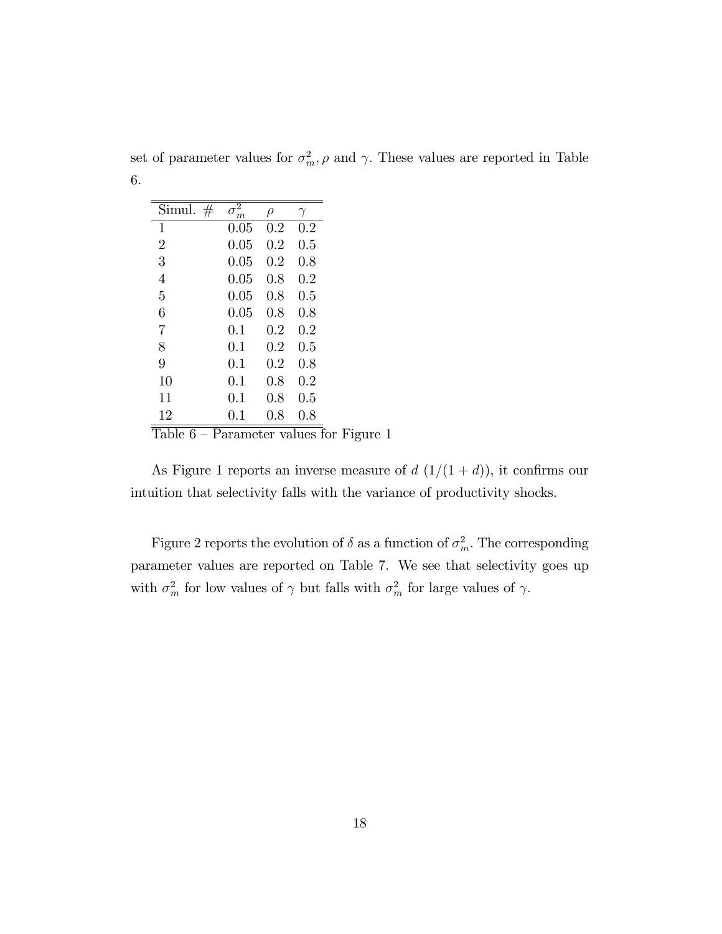set of parameter values for  $\sigma_m^2$ ,  $\rho$  and  $\gamma$ . These values are reported in Table 6.

| Simul.<br>$\#$ | 2<br>$\sigma_{\underline{m}}$ | ρ       |           |
|----------------|-------------------------------|---------|-----------|
| 1              | 0.05                          | $0.2\,$ | $0.2\,$   |
| $\overline{2}$ | 0.05                          | 0.2     | 0.5       |
| 3              | 0.05                          | 0.2     | $0.8\,$   |
| 4              | 0.05                          | 0.8     | 0.2       |
| 5              | 0.05                          | 0.8     | $\rm 0.5$ |
| 6              | 0.05                          | 0.8     | $0.8\,$   |
| 7              | 0.1                           | 0.2     | 0.2       |
| 8              | 0.1                           | 0.2     | 0.5       |
| 9              | 0.1                           | 0.2     | $0.8\,$   |
| 10             | 0.1                           | 0.8     | $0.2\,$   |
| 11             | 0.1                           | 0.8     | 0.5       |
| 12             | 0.1                           | $0.8\,$ | 0.8       |

 $\overline{\text{Table 6 - Parameter values}}$  for Figure 1

As Figure 1 reports an inverse measure of  $d(1/(1+d))$ , it confirms our intuition that selectivity falls with the variance of productivity shocks.

Figure 2 reports the evolution of  $\delta$  as a function of  $\sigma_m^2$ . The corresponding parameter values are reported on Table 7. We see that selectivity goes up with  $\sigma_m^2$  for low values of  $\gamma$  but falls with  $\sigma_m^2$  for large values of  $\gamma$ .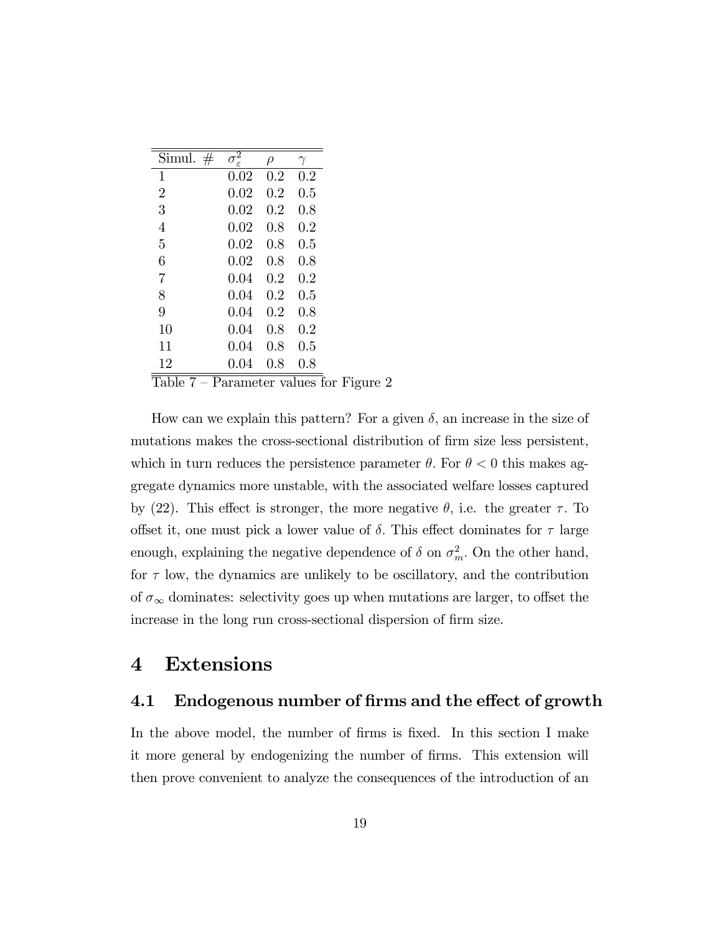| Simul.<br>#                          | $\sigma^{\bar 2}$ | $\rho$    |           |
|--------------------------------------|-------------------|-----------|-----------|
| 1                                    | 0.02              | $\rm 0.2$ | $\rm 0.2$ |
| $\overline{2}$                       | 0.02              | 0.2       | 0.5       |
| 3                                    | 0.02              | 0.2       | 0.8       |
| 4                                    | 0.02              | 0.8       | 0.2       |
| 5                                    | 0.02              | 0.8       | 0.5       |
| 6                                    | 0.02              | 0.8       | 0.8       |
| $\overline{7}$                       | 0.04              | 0.2       | 0.2       |
| 8                                    | 0.04              | 0.2       | $0.5\,$   |
| 9                                    | 0.04              | 0.2       | 0.8       |
| 10                                   | 0.04              | 0.8       | $0.2\,$   |
| 11                                   | 0.04              | 0.8       | $\rm 0.5$ |
| 12                                   | 0.04              | 0.8       | 0.8       |
| 1 <sub>1</sub><br><u>n</u><br>m<br>⇁ |                   | ×.        | ٦         |

Table  $7$  – Parameter values for Figure 2

How can we explain this pattern? For a given  $\delta$ , an increase in the size of mutations makes the cross-sectional distribution of firm size less persistent, which in turn reduces the persistence parameter  $\theta$ . For  $\theta < 0$  this makes aggregate dynamics more unstable, with the associated welfare losses captured by (22). This effect is stronger, the more negative  $\theta$ , i.e. the greater  $\tau$ . To offset it, one must pick a lower value of  $\delta$ . This effect dominates for  $\tau$  large enough, explaining the negative dependence of  $\delta$  on  $\sigma_m^2$ . On the other hand, for  $\tau$  low, the dynamics are unlikely to be oscillatory, and the contribution of  $\sigma_{\infty}$  dominates: selectivity goes up when mutations are larger, to offset the increase in the long run cross-sectional dispersion of firm size.

# 4 Extensions

### 4.1 Endogenous number of firms and the effect of growth

In the above model, the number of firms is fixed. In this section I make it more general by endogenizing the number of Örms. This extension will then prove convenient to analyze the consequences of the introduction of an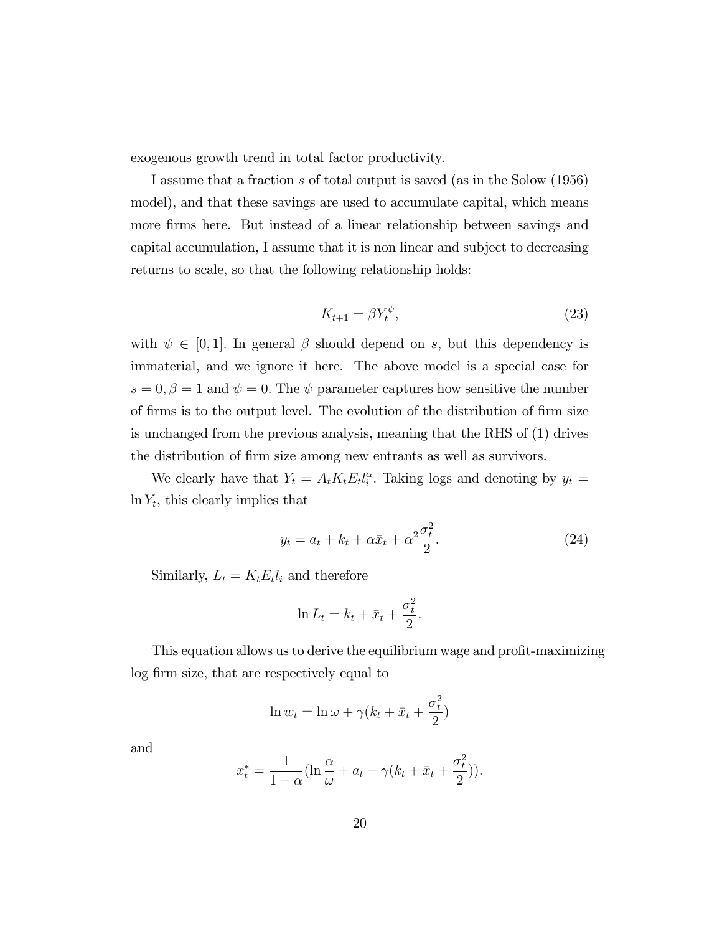exogenous growth trend in total factor productivity.

I assume that a fraction s of total output is saved (as in the Solow (1956) model), and that these savings are used to accumulate capital, which means more firms here. But instead of a linear relationship between savings and capital accumulation, I assume that it is non linear and subject to decreasing returns to scale, so that the following relationship holds:

$$
K_{t+1} = \beta Y_t^{\psi},\tag{23}
$$

with  $\psi \in [0, 1]$ . In general  $\beta$  should depend on s, but this dependency is immaterial, and we ignore it here. The above model is a special case for  $s = 0, \beta = 1$  and  $\psi = 0$ . The  $\psi$  parameter captures how sensitive the number of firms is to the output level. The evolution of the distribution of firm size is unchanged from the previous analysis, meaning that the RHS of (1) drives the distribution of firm size among new entrants as well as survivors.

We clearly have that  $Y_t = A_t K_t E_t l_i^{\alpha}$ . Taking logs and denoting by  $y_t =$  $\ln Y_t$ , this clearly implies that

$$
y_t = a_t + k_t + \alpha \bar{x}_t + \alpha^2 \frac{\sigma_t^2}{2}.
$$
 (24)

Similarly,  $L_t = K_t E_t l_i$  and therefore

$$
\ln L_t = k_t + \bar{x}_t + \frac{\sigma_t^2}{2}.
$$

This equation allows us to derive the equilibrium wage and profit-maximizing log firm size, that are respectively equal to

$$
\ln w_t = \ln \omega + \gamma (k_t + \bar{x}_t + \frac{\sigma_t^2}{2})
$$

and

$$
x_t^* = \frac{1}{1-\alpha} \left( \ln \frac{\alpha}{\omega} + a_t - \gamma (k_t + \bar{x}_t + \frac{\sigma_t^2}{2}) \right).
$$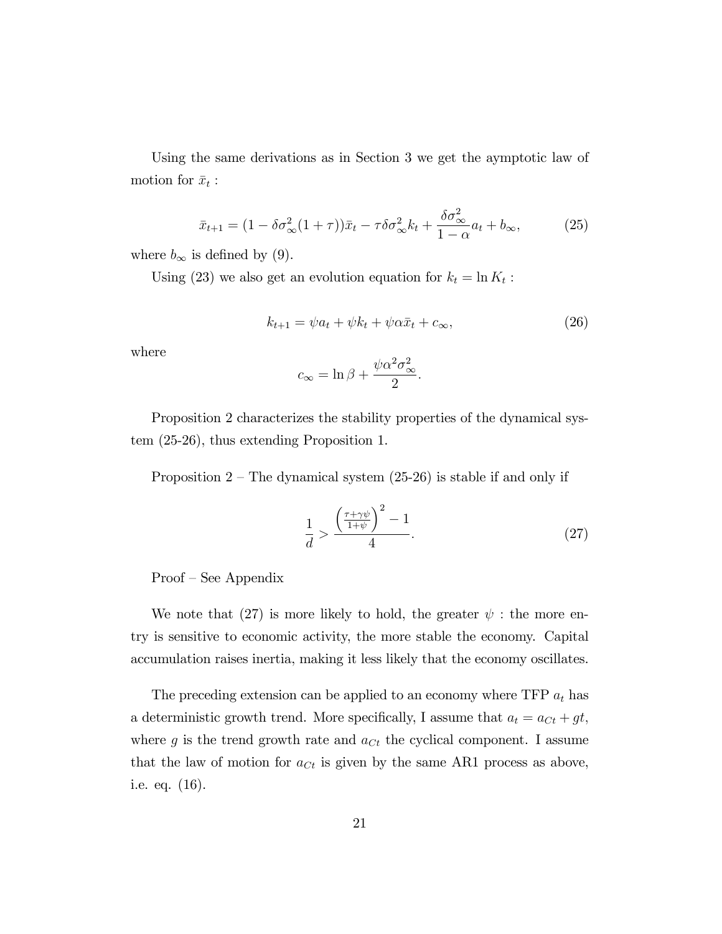Using the same derivations as in Section 3 we get the aymptotic law of motion for  $\bar{x}_t$ :

$$
\bar{x}_{t+1} = (1 - \delta \sigma_{\infty}^2 (1 + \tau)) \bar{x}_t - \tau \delta \sigma_{\infty}^2 k_t + \frac{\delta \sigma_{\infty}^2}{1 - \alpha} a_t + b_{\infty},
$$
\n(25)

where  $b_{\infty}$  is defined by (9).

Using (23) we also get an evolution equation for  $k_t = \ln K_t$ :

$$
k_{t+1} = \psi a_t + \psi k_t + \psi \alpha \bar{x}_t + c_{\infty}, \qquad (26)
$$

:

where

$$
c_{\infty} = \ln \beta + \frac{\psi \alpha^2 \sigma_{\infty}^2}{2}
$$

Proposition 2 characterizes the stability properties of the dynamical system (25-26), thus extending Proposition 1.

Proposition  $2$  – The dynamical system (25-26) is stable if and only if

$$
\frac{1}{d} > \frac{\left(\frac{\tau + \gamma \psi}{1 + \psi}\right)^2 - 1}{4}.\tag{27}
$$

 $Proof - See Appendix$ 

We note that (27) is more likely to hold, the greater  $\psi$ : the more entry is sensitive to economic activity, the more stable the economy. Capital accumulation raises inertia, making it less likely that the economy oscillates.

The preceding extension can be applied to an economy where  $TFP a_t$  has a deterministic growth trend. More specifically, I assume that  $a_t = a_{Ct} + gt$ , where g is the trend growth rate and  $a_{C_t}$  the cyclical component. I assume that the law of motion for  $a_{Ct}$  is given by the same AR1 process as above, i.e. eq. (16).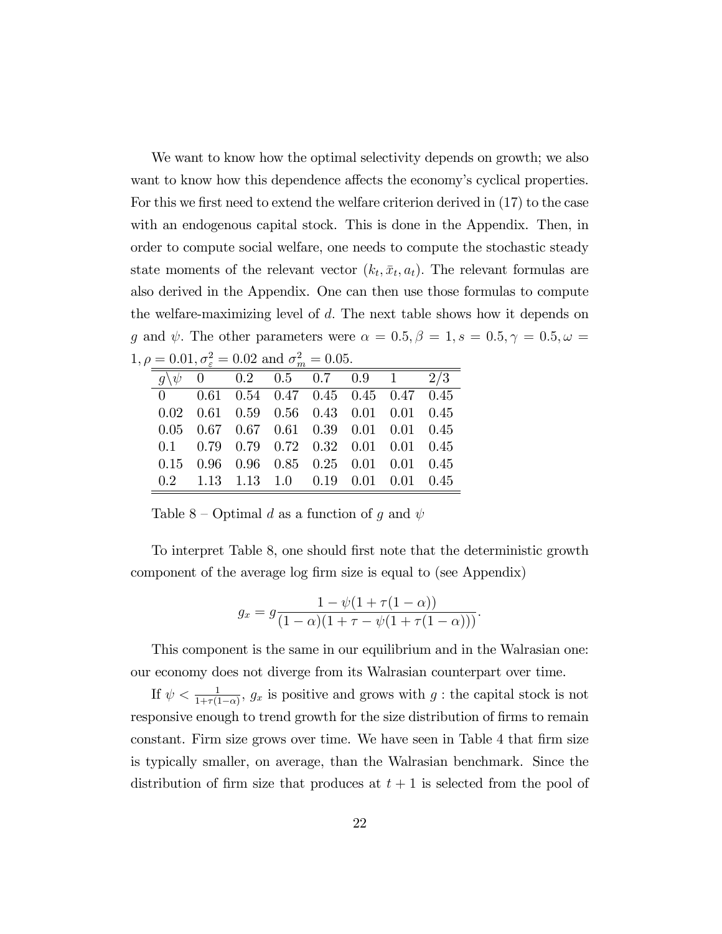We want to know how the optimal selectivity depends on growth; we also want to know how this dependence affects the economy's cyclical properties. For this we first need to extend the welfare criterion derived in  $(17)$  to the case with an endogenous capital stock. This is done in the Appendix. Then, in order to compute social welfare, one needs to compute the stochastic steady state moments of the relevant vector  $(k_t, \bar{x}_t, a_t)$ . The relevant formulas are also derived in the Appendix. One can then use those formulas to compute the welfare-maximizing level of  $d$ . The next table shows how it depends on g and  $\psi$ . The other parameters were  $\alpha = 0.5, \beta = 1, s = 0.5, \gamma = 0.5, \omega =$  $1, \rho = 0.01, \sigma_{\varepsilon}^2 = 0.02 \text{ and } \sigma_m^2 = 0.05.$ 

|  | $\blacksquare$ , $\blacksquare$ , $\blacksquare$ , $\blacksquare$ , $\blacksquare$ |  |  |  |
|--|------------------------------------------------------------------------------------|--|--|--|
|  | $g\backslash \psi$ 0 0.2 0.5 0.7 0.9 1 2/3                                         |  |  |  |
|  | $0$ 0.61 0.54 0.47 0.45 0.45 0.47 0.45                                             |  |  |  |
|  | $0.02$ $0.61$ $0.59$ $0.56$ $0.43$ $0.01$ $0.01$ $0.45$                            |  |  |  |
|  | $0.05$ $0.67$ $0.67$ $0.61$ $0.39$ $0.01$ $0.01$ $0.45$                            |  |  |  |
|  | $0.1$ $0.79$ $0.79$ $0.72$ $0.32$ $0.01$ $0.01$ $0.45$                             |  |  |  |
|  | $0.15$ $0.96$ $0.96$ $0.85$ $0.25$ $0.01$ $0.01$ $0.45$                            |  |  |  |
|  | $0.2$ 1.13 1.13 1.0 0.19 0.01 0.01 0.45                                            |  |  |  |

Table 8 – Optimal d as a function of g and  $\psi$ 

To interpret Table 8, one should first note that the deterministic growth component of the average log firm size is equal to (see Appendix)

$$
g_x = g \frac{1 - \psi(1 + \tau(1 - \alpha))}{(1 - \alpha)(1 + \tau - \psi(1 + \tau(1 - \alpha)))}.
$$

This component is the same in our equilibrium and in the Walrasian one: our economy does not diverge from its Walrasian counterpart over time.

If  $\psi < \frac{1}{1+\tau(1-\alpha)}$ ,  $g_x$  is positive and grows with  $g$ : the capital stock is not responsive enough to trend growth for the size distribution of firms to remain constant. Firm size grows over time. We have seen in Table 4 that firm size is typically smaller, on average, than the Walrasian benchmark. Since the distribution of firm size that produces at  $t + 1$  is selected from the pool of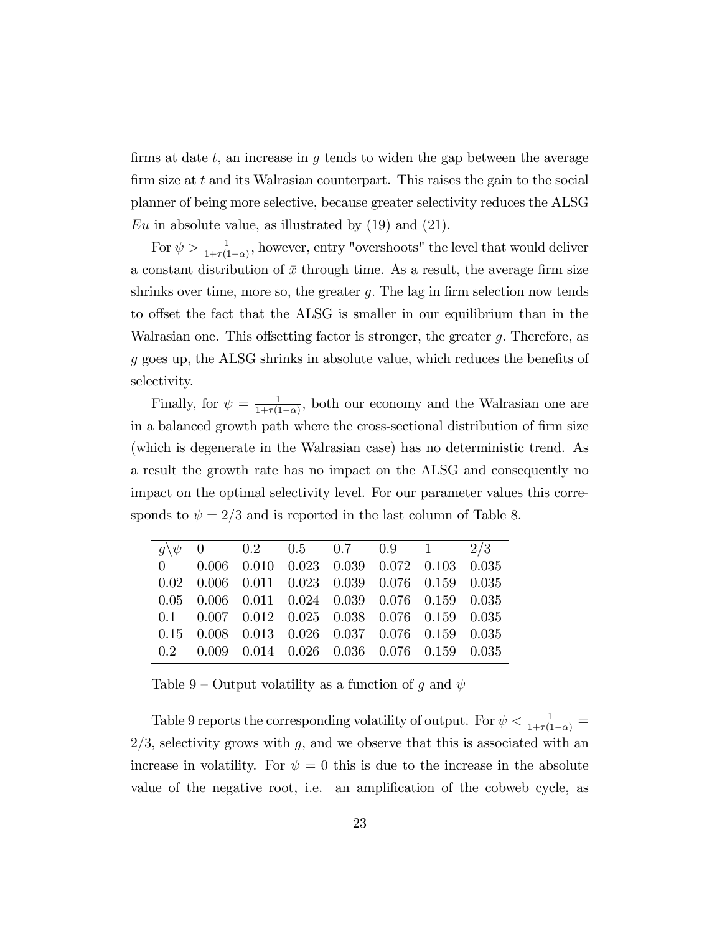firms at date t, an increase in q tends to widen the gap between the average firm size at  $t$  and its Walrasian counterpart. This raises the gain to the social planner of being more selective, because greater selectivity reduces the ALSG  $Eu$  in absolute value, as illustrated by  $(19)$  and  $(21)$ .

For  $\psi > \frac{1}{1+\tau(1-\alpha)}$ , however, entry "overshoots" the level that would deliver a constant distribution of  $\bar{x}$  through time. As a result, the average firm size shrinks over time, more so, the greater  $g$ . The lag in firm selection now tends to offset the fact that the ALSG is smaller in our equilibrium than in the Walrasian one. This offsetting factor is stronger, the greater  $g$ . Therefore, as  $q$  goes up, the ALSG shrinks in absolute value, which reduces the benefits of selectivity.

Finally, for  $\psi = \frac{1}{1+\tau(1)}$  $\frac{1}{1+\tau(1-\alpha)}$ , both our economy and the Walrasian one are in a balanced growth path where the cross-sectional distribution of firm size (which is degenerate in the Walrasian case) has no deterministic trend. As a result the growth rate has no impact on the ALSG and consequently no impact on the optimal selectivity level. For our parameter values this corresponds to  $\psi = 2/3$  and is reported in the last column of Table 8.

|  |  | $q\backslash \psi$ 0 0.2 0.5 0.7 0.9 1 2/3                     |  |
|--|--|----------------------------------------------------------------|--|
|  |  | $0$ 0.006 0.010 0.023 0.039 0.072 0.103 0.035                  |  |
|  |  | $0.02$ $0.006$ $0.011$ $0.023$ $0.039$ $0.076$ $0.159$ $0.035$ |  |
|  |  | $0.05$ $0.006$ $0.011$ $0.024$ $0.039$ $0.076$ $0.159$ $0.035$ |  |
|  |  | $0.1$ $0.007$ $0.012$ $0.025$ $0.038$ $0.076$ $0.159$ $0.035$  |  |
|  |  | $0.15$ $0.008$ $0.013$ $0.026$ $0.037$ $0.076$ $0.159$ $0.035$ |  |
|  |  | $0.2$ $0.009$ $0.014$ $0.026$ $0.036$ $0.076$ $0.159$ $0.035$  |  |

Table 9 – Output volatility as a function of g and  $\psi$ 

Table 9 reports the corresponding volatility of output. For  $\psi < \frac{1}{1+\tau(1-\alpha)} =$  $2/3$ , selectivity grows with g, and we observe that this is associated with an increase in volatility. For  $\psi = 0$  this is due to the increase in the absolute value of the negative root, i.e. an amplification of the cobweb cycle, as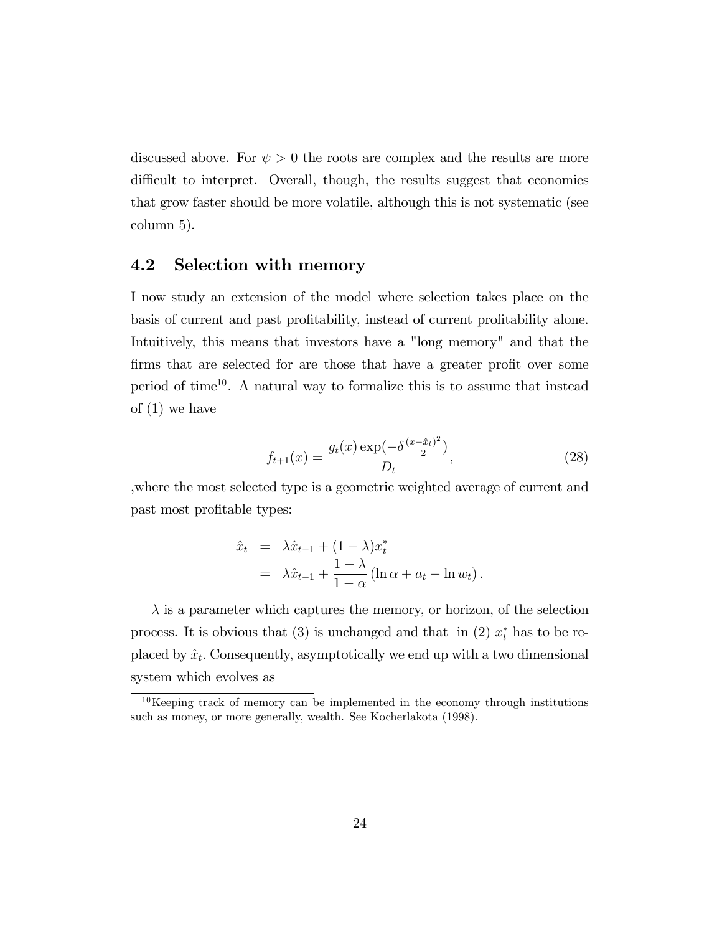discussed above. For  $\psi > 0$  the roots are complex and the results are more difficult to interpret. Overall, though, the results suggest that economies that grow faster should be more volatile, although this is not systematic (see column 5).

### 4.2 Selection with memory

I now study an extension of the model where selection takes place on the basis of current and past profitability, instead of current profitability alone. Intuitively, this means that investors have a "long memory" and that the firms that are selected for are those that have a greater profit over some period of time<sup>10</sup>. A natural way to formalize this is to assume that instead of (1) we have

$$
f_{t+1}(x) = \frac{g_t(x) \exp(-\delta \frac{(x-\hat{x}_t)^2}{2})}{D_t},\tag{28}
$$

,where the most selected type is a geometric weighted average of current and past most profitable types:

$$
\hat{x}_t = \lambda \hat{x}_{t-1} + (1 - \lambda)x_t^*
$$
  
=  $\lambda \hat{x}_{t-1} + \frac{1 - \lambda}{1 - \alpha} (\ln \alpha + a_t - \ln w_t).$ 

 $\lambda$  is a parameter which captures the memory, or horizon, of the selection process. It is obvious that (3) is unchanged and that in (2)  $x_t^*$  has to be replaced by  $\hat{x}_t$ . Consequently, asymptotically we end up with a two dimensional system which evolves as

 $10$ Keeping track of memory can be implemented in the economy through institutions such as money, or more generally, wealth. See Kocherlakota (1998).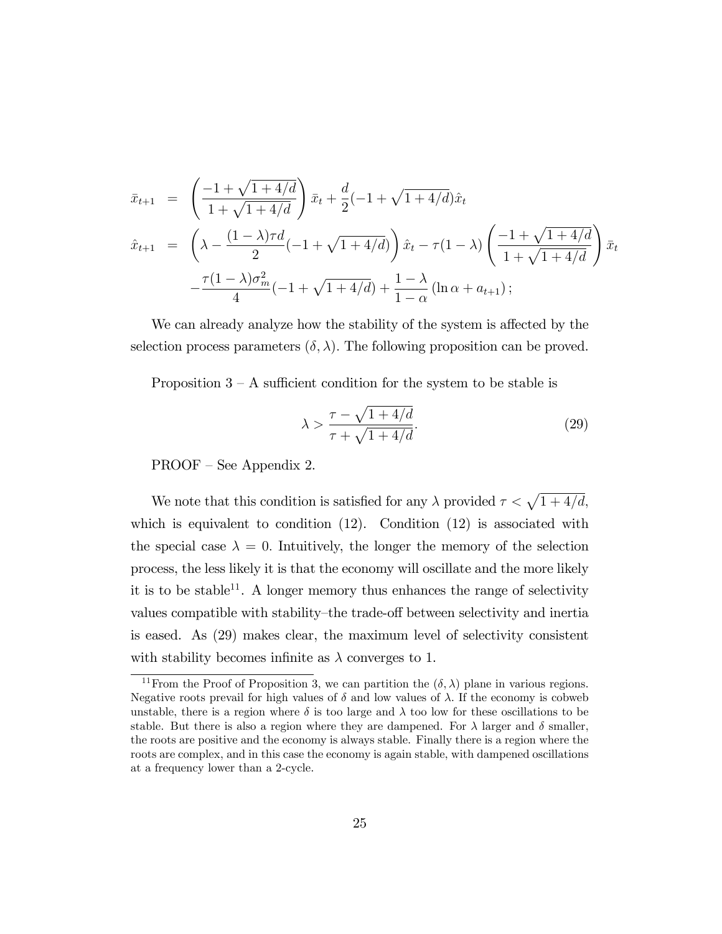$$
\bar{x}_{t+1} = \left(\frac{-1 + \sqrt{1 + 4/d}}{1 + \sqrt{1 + 4/d}}\right) \bar{x}_t + \frac{d}{2}(-1 + \sqrt{1 + 4/d})\hat{x}_t
$$
\n
$$
\hat{x}_{t+1} = \left(\lambda - \frac{(1 - \lambda)\tau d}{2}(-1 + \sqrt{1 + 4/d})\right) \hat{x}_t - \tau(1 - \lambda) \left(\frac{-1 + \sqrt{1 + 4/d}}{1 + \sqrt{1 + 4/d}}\right) \bar{x}_t
$$
\n
$$
-\frac{\tau(1 - \lambda)\sigma_m^2}{4}(-1 + \sqrt{1 + 4/d}) + \frac{1 - \lambda}{1 - \alpha}(\ln \alpha + a_{t+1});
$$

We can already analyze how the stability of the system is affected by the selection process parameters  $(\delta, \lambda)$ . The following proposition can be proved.

Proposition  $3 - A$  sufficient condition for the system to be stable is

$$
\lambda > \frac{\tau - \sqrt{1 + 4/d}}{\tau + \sqrt{1 + 4/d}}.\tag{29}
$$

 $PROOF - See Appendix 2.$ 

We note that this condition is satisfied for any  $\lambda$  provided  $\tau < \sqrt{1 + 4/d}$ , which is equivalent to condition  $(12)$ . Condition  $(12)$  is associated with the special case  $\lambda = 0$ . Intuitively, the longer the memory of the selection process, the less likely it is that the economy will oscillate and the more likely it is to be stable<sup>11</sup>. A longer memory thus enhances the range of selectivity values compatible with stability-the trade-off between selectivity and inertia is eased. As (29) makes clear, the maximum level of selectivity consistent with stability becomes infinite as  $\lambda$  converges to 1.

<sup>&</sup>lt;sup>11</sup>From the Proof of Proposition 3, we can partition the  $(\delta, \lambda)$  plane in various regions. Negative roots prevail for high values of  $\delta$  and low values of  $\lambda$ . If the economy is cobweb unstable, there is a region where  $\delta$  is too large and  $\lambda$  too low for these oscillations to be stable. But there is also a region where they are dampened. For  $\lambda$  larger and  $\delta$  smaller, the roots are positive and the economy is always stable. Finally there is a region where the roots are complex, and in this case the economy is again stable, with dampened oscillations at a frequency lower than a 2-cycle.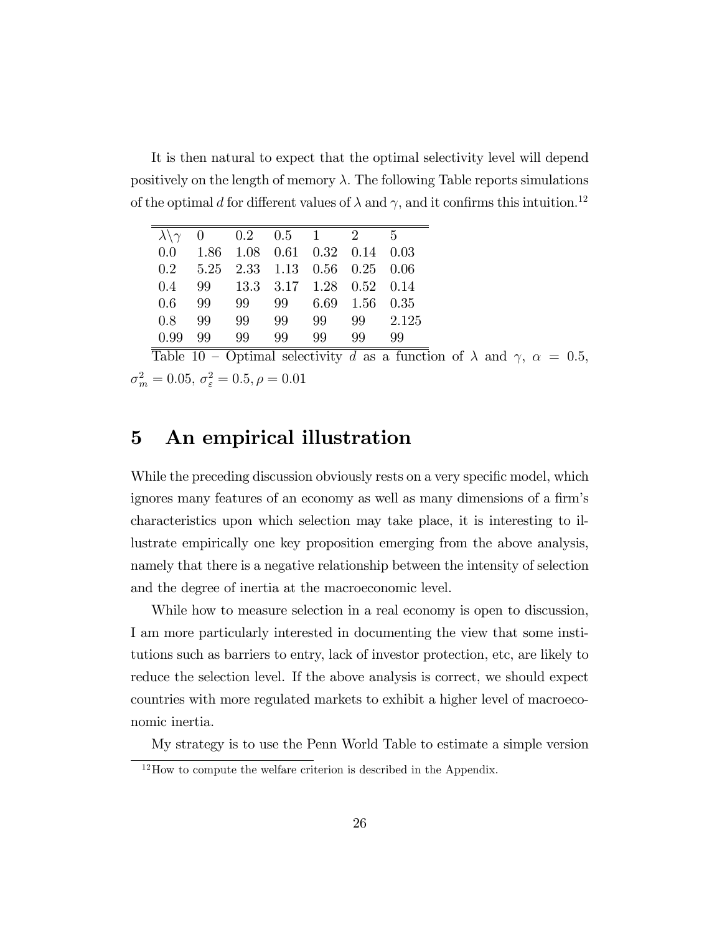It is then natural to expect that the optimal selectivity level will depend positively on the length of memory  $\lambda$ . The following Table reports simulations of the optimal d for different values of  $\lambda$  and  $\gamma$ , and it confirms this intuition.<sup>12</sup>

| $\lambda \setminus \gamma$ | 0    |    | $0.2 \t 0.5 \t 1 \t 2$        |    |                | - 5   |
|----------------------------|------|----|-------------------------------|----|----------------|-------|
| 0.0                        | 1.86 |    | $1.08$ 0.61 0.32 0.14 0.03    |    |                |       |
| 0.2                        |      |    | 5.25 2.33 1.13 0.56 0.25 0.06 |    |                |       |
| 0.4                        | 99   |    | 13.3 3.17 1.28 0.52 0.14      |    |                |       |
| 0.6                        | 99   | 99 | 99                            |    | 6.69 1.56 0.35 |       |
| 0.8                        | 99   | 99 | 99                            | 99 | 99             | 2.125 |
| 0.99                       | 99   | 99 | 99                            | 99 | 99             | 99    |

Table 10 – Optimal selectivity d as a function of  $\lambda$  and  $\gamma$ ,  $\alpha = 0.5$ ,  $\sigma_m^2 = 0.05, \, \sigma_\varepsilon^2 = 0.5, \rho = 0.01$ 

# 5 An empirical illustration

While the preceding discussion obviously rests on a very specific model, which ignores many features of an economy as well as many dimensions of a firm's characteristics upon which selection may take place, it is interesting to illustrate empirically one key proposition emerging from the above analysis, namely that there is a negative relationship between the intensity of selection and the degree of inertia at the macroeconomic level.

While how to measure selection in a real economy is open to discussion, I am more particularly interested in documenting the view that some institutions such as barriers to entry, lack of investor protection, etc, are likely to reduce the selection level. If the above analysis is correct, we should expect countries with more regulated markets to exhibit a higher level of macroeconomic inertia.

My strategy is to use the Penn World Table to estimate a simple version

 $12$ How to compute the welfare criterion is described in the Appendix.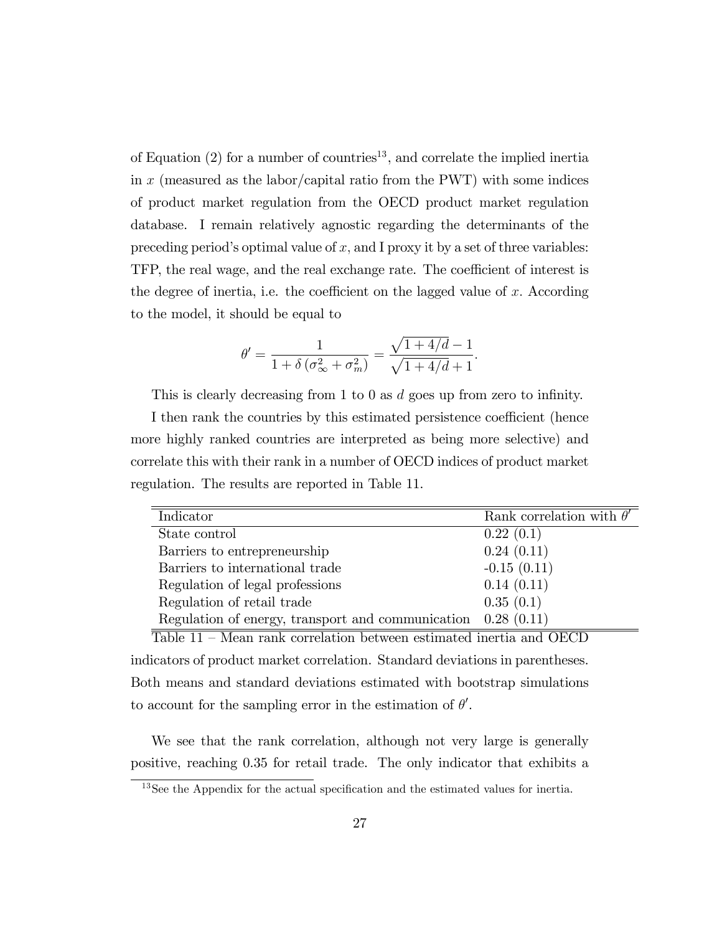of Equation  $(2)$  for a number of countries<sup>13</sup>, and correlate the implied inertia in  $x$  (measured as the labor/capital ratio from the PWT) with some indices of product market regulation from the OECD product market regulation database. I remain relatively agnostic regarding the determinants of the preceding period's optimal value of  $x$ , and I proxy it by a set of three variables: TFP, the real wage, and the real exchange rate. The coefficient of interest is the degree of inertia, i.e. the coefficient on the lagged value of  $x$ . According to the model, it should be equal to

$$
\theta' = \frac{1}{1 + \delta \left(\sigma_{\infty}^2 + \sigma_m^2\right)} = \frac{\sqrt{1 + 4/d} - 1}{\sqrt{1 + 4/d} + 1}.
$$

This is clearly decreasing from 1 to 0 as  $d$  goes up from zero to infinity.

I then rank the countries by this estimated persistence coefficient (hence more highly ranked countries are interpreted as being more selective) and correlate this with their rank in a number of OECD indices of product market regulation. The results are reported in Table 11.

| Indicator                                                       | Rank correlation with $\theta'$ |
|-----------------------------------------------------------------|---------------------------------|
| State control                                                   | 0.22(0.1)                       |
| Barriers to entrepreneurship                                    | 0.24(0.11)                      |
| Barriers to international trade                                 | $-0.15(0.11)$                   |
| Regulation of legal professions                                 | 0.14(0.11)                      |
| Regulation of retail trade                                      | 0.35(0.1)                       |
| Regulation of energy, transport and communication $0.28$ (0.11) |                                 |

Table  $11$  – Mean rank correlation between estimated inertia and OECD indicators of product market correlation. Standard deviations in parentheses. Both means and standard deviations estimated with bootstrap simulations to account for the sampling error in the estimation of  $\theta'$ .

We see that the rank correlation, although not very large is generally positive, reaching 0.35 for retail trade. The only indicator that exhibits a

 $13$ See the Appendix for the actual specification and the estimated values for inertia.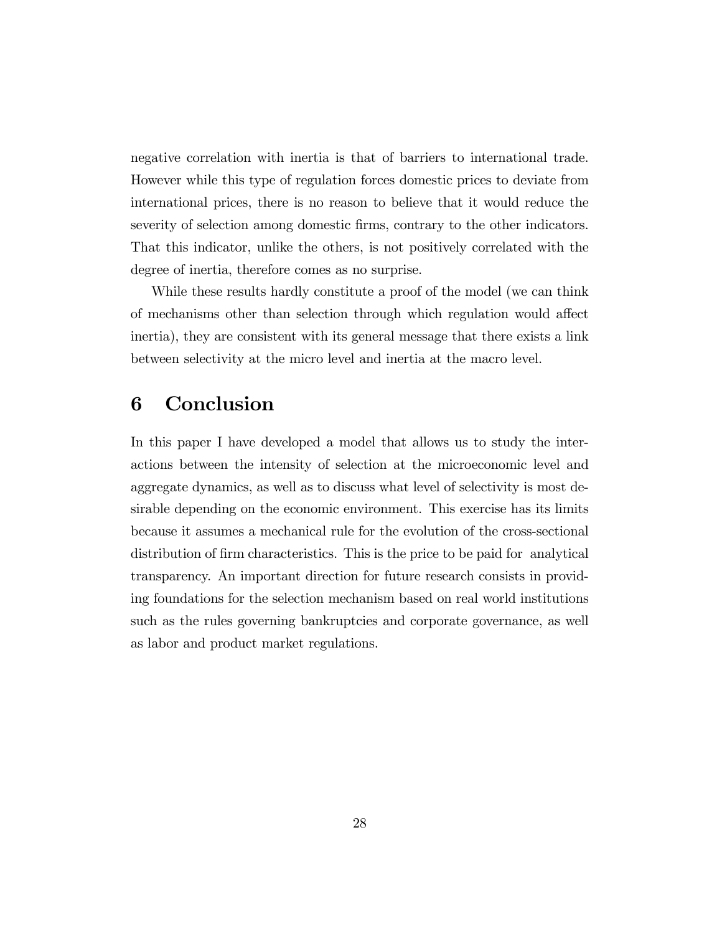negative correlation with inertia is that of barriers to international trade. However while this type of regulation forces domestic prices to deviate from international prices, there is no reason to believe that it would reduce the severity of selection among domestic firms, contrary to the other indicators. That this indicator, unlike the others, is not positively correlated with the degree of inertia, therefore comes as no surprise.

While these results hardly constitute a proof of the model (we can think of mechanisms other than selection through which regulation would affect inertia), they are consistent with its general message that there exists a link between selectivity at the micro level and inertia at the macro level.

# 6 Conclusion

In this paper I have developed a model that allows us to study the interactions between the intensity of selection at the microeconomic level and aggregate dynamics, as well as to discuss what level of selectivity is most desirable depending on the economic environment. This exercise has its limits because it assumes a mechanical rule for the evolution of the cross-sectional distribution of firm characteristics. This is the price to be paid for analytical transparency. An important direction for future research consists in providing foundations for the selection mechanism based on real world institutions such as the rules governing bankruptcies and corporate governance, as well as labor and product market regulations.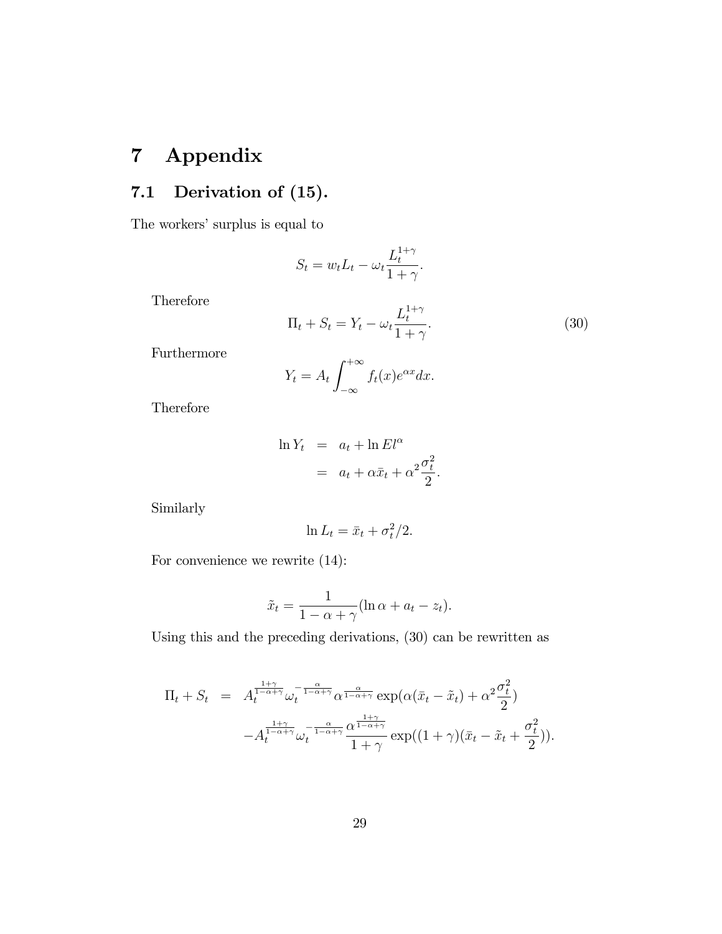# 7 Appendix

# 7.1 Derivation of (15).

The workers' surplus is equal to

$$
S_t = w_t L_t - \omega_t \frac{L_t^{1+\gamma}}{1+\gamma}.
$$

Therefore

$$
\Pi_t + S_t = Y_t - \omega_t \frac{L_t^{1+\gamma}}{1+\gamma}.
$$
\n(30)

Furthermore

$$
Y_t = A_t \int_{-\infty}^{+\infty} f_t(x) e^{\alpha x} dx.
$$

Therefore

$$
\ln Y_t = a_t + \ln El^{\alpha}
$$
  
=  $a_t + \alpha \bar{x}_t + \alpha^2 \frac{\sigma_t^2}{2}.$ 

Similarly

$$
\ln L_t = \bar{x}_t + \sigma_t^2/2.
$$

For convenience we rewrite (14):

$$
\tilde{x}_t = \frac{1}{1 - \alpha + \gamma} (\ln \alpha + a_t - z_t).
$$

Using this and the preceding derivations, (30) can be rewritten as

$$
\Pi_t + S_t = A_t^{\frac{1+\gamma}{1-\alpha+\gamma}} \omega_t^{-\frac{\alpha}{1-\alpha+\gamma}} \alpha^{\frac{\alpha}{1-\alpha+\gamma}} \exp(\alpha(\bar{x}_t - \tilde{x}_t) + \alpha^2 \frac{\sigma_t^2}{2})
$$

$$
-A_t^{\frac{1+\gamma}{1-\alpha+\gamma}} \omega_t^{-\frac{\alpha}{1-\alpha+\gamma}} \frac{\alpha^{\frac{1+\gamma}{1-\alpha+\gamma}}}{1+\gamma} \exp((1+\gamma)(\bar{x}_t - \tilde{x}_t + \frac{\sigma_t^2}{2})).
$$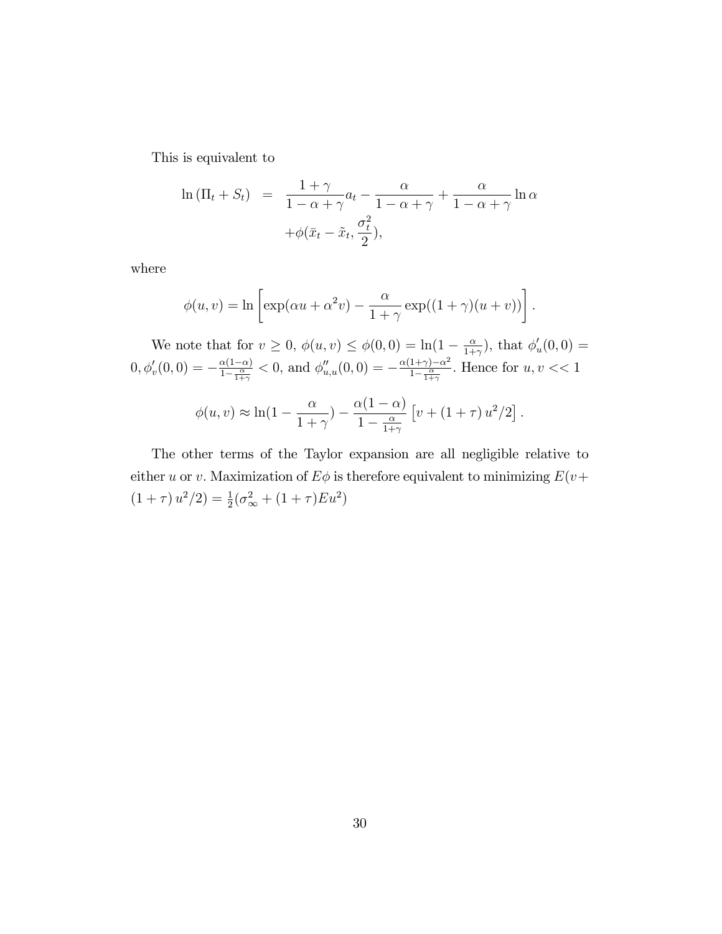This is equivalent to

$$
\ln (\Pi_t + S_t) = \frac{1+\gamma}{1-\alpha+\gamma} a_t - \frac{\alpha}{1-\alpha+\gamma} + \frac{\alpha}{1-\alpha+\gamma} \ln \alpha
$$

$$
+ \phi(\bar{x}_t - \tilde{x}_t, \frac{\sigma_t^2}{2}),
$$

where

$$
\phi(u,v) = \ln \left[ \exp(\alpha u + \alpha^2 v) - \frac{\alpha}{1+\gamma} \exp((1+\gamma)(u+v)) \right].
$$

We note that for  $v \geq 0$ ,  $\phi(u, v) \leq \phi(0, 0) = \ln(1 - \frac{\alpha}{1 + \alpha})$  $\frac{\alpha}{1+\gamma}$ , that  $\phi'_u(0,0) =$  $(0, \phi'_v(0,0)) = -\frac{\alpha(1-\alpha)}{1-\frac{\alpha}{1+\gamma}}$  $\frac{\alpha(1-\alpha)}{1-\frac{\alpha}{1+\gamma}}$  < 0, and  $\phi''_{u,u}(0,0) = -\frac{\alpha(1+\gamma)-\alpha^2}{1-\frac{\alpha}{1+\gamma}}$  $\frac{1+\gamma-\alpha}{1-\frac{\alpha}{1+\gamma}}$ . Hence for  $u, v \ll 1$ 

$$
\phi(u,v) \approx \ln(1 - \frac{\alpha}{1+\gamma}) - \frac{\alpha(1-\alpha)}{1-\frac{\alpha}{1+\gamma}} \left[ v + (1+\tau) u^2/2 \right].
$$

The other terms of the Taylor expansion are all negligible relative to either u or v. Maximization of  $E\phi$  is therefore equivalent to minimizing  $E(v+)$  $(1 + \tau) u^2 / 2 = \frac{1}{2} (\sigma_{\infty}^2 + (1 + \tau) E u^2)$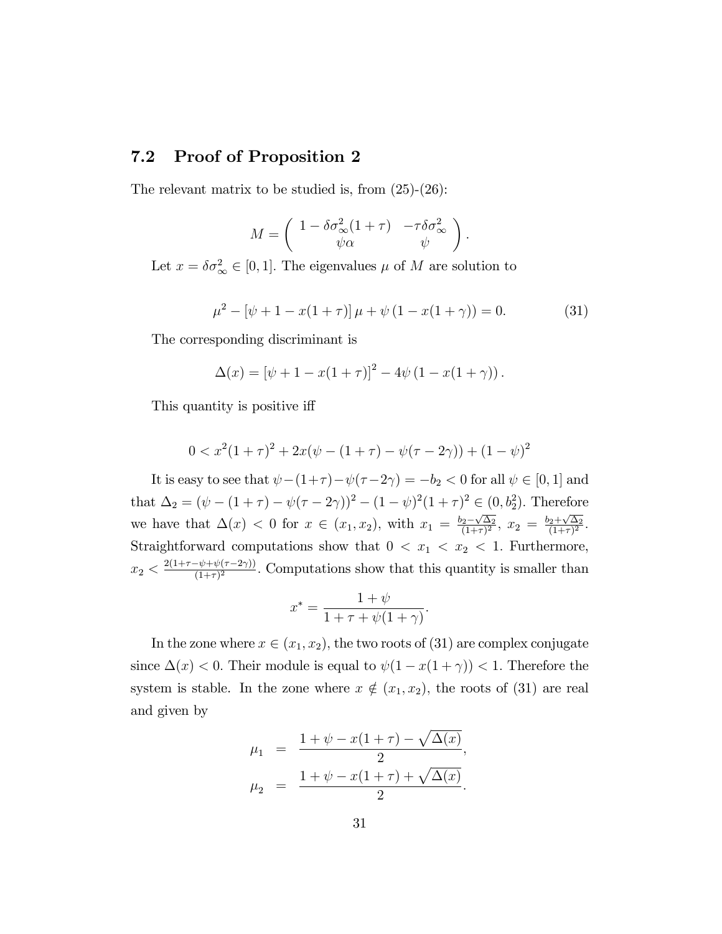### 7.2 Proof of Proposition 2

The relevant matrix to be studied is, from (25)-(26):

$$
M = \begin{pmatrix} 1 - \delta \sigma_{\infty}^2 (1 + \tau) & -\tau \delta \sigma_{\infty}^2 \\ \psi \alpha & \psi \end{pmatrix}.
$$

Let  $x = \delta \sigma_{\infty}^2 \in [0, 1]$ . The eigenvalues  $\mu$  of M are solution to

$$
\mu^2 - [\psi + 1 - x(1 + \tau)] \mu + \psi (1 - x(1 + \gamma)) = 0.
$$
 (31)

The corresponding discriminant is

$$
\Delta(x) = [\psi + 1 - x(1 + \tau)]^{2} - 4\psi(1 - x(1 + \gamma)).
$$

This quantity is positive iff.

$$
0 < x^2(1+\tau)^2 + 2x(\psi - (1+\tau) - \psi(\tau - 2\gamma)) + (1-\psi)^2
$$

It is easy to see that  $\psi - (1+\tau) - \psi(\tau - 2\gamma) = -b_2 < 0$  for all  $\psi \in [0, 1]$  and that  $\Delta_2 = (\psi - (1 + \tau) - \psi(\tau - 2\gamma))^2 - (1 - \psi)^2 (1 + \tau)^2 \in (0, b_2^2)$ . Therefore we have that  $\Delta(x) < 0$  for  $x \in (x_1, x_2)$ , with  $x_1 = \frac{b_2 - \sqrt{\Delta_2}}{(1+\tau)^2}$  $\frac{b_2-\sqrt{\Delta_2}}{(1+\tau)^2}$ ,  $x_2 = \frac{b_2+\sqrt{\Delta_2}}{(1+\tau)^2}$  $\frac{2+\sqrt{\Delta_2}}{(1+\tau)^2}.$ Straightforward computations show that  $0 < x_1 < x_2 < 1$ . Furthermore,  $x_2 < \frac{2(1+\tau-\psi+\psi(\tau-2\gamma))}{(1+\tau)^2}$ . Computations show that this quantity is smaller than

$$
x^* = \frac{1+\psi}{1+\tau+\psi(1+\gamma)}
$$

:

In the zone where  $x \in (x_1, x_2)$ , the two roots of (31) are complex conjugate since  $\Delta(x) < 0$ . Their module is equal to  $\psi(1 - x(1 + \gamma)) < 1$ . Therefore the system is stable. In the zone where  $x \notin (x_1, x_2)$ , the roots of (31) are real and given by

$$
\mu_1 = \frac{1 + \psi - x(1 + \tau) - \sqrt{\Delta(x)}}{2},
$$
  

$$
\mu_2 = \frac{1 + \psi - x(1 + \tau) + \sqrt{\Delta(x)}}{2}.
$$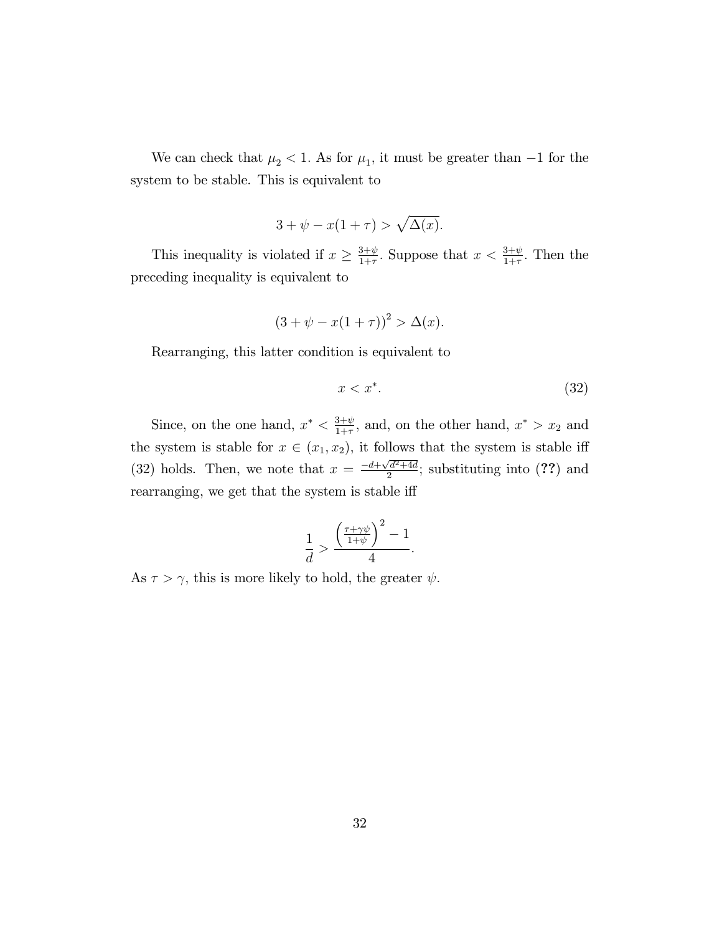We can check that  $\mu_2 < 1$ . As for  $\mu_1$ , it must be greater than  $-1$  for the system to be stable. This is equivalent to

$$
3 + \psi - x(1 + \tau) > \sqrt{\Delta(x)}.
$$

This inequality is violated if  $x \geq \frac{3+\psi}{1+\tau}$  $\frac{3+\psi}{1+\tau}$ . Suppose that  $x < \frac{3+\psi}{1+\tau}$ . Then the preceding inequality is equivalent to

$$
(3 + \psi - x(1 + \tau))^{2} > \Delta(x).
$$

Rearranging, this latter condition is equivalent to

$$
x < x^*.\tag{32}
$$

Since, on the one hand,  $x^* < \frac{3+\psi}{1+\tau}$  $\frac{3+\psi}{1+\tau}$ , and, on the other hand,  $x^* > x_2$  and the system is stable for  $x \in (x_1, x_2)$ , it follows that the system is stable iff (32) holds. Then, we note that  $x = \frac{-d + \sqrt{d^2 + 4d}}{2}$  $\frac{d^2+4d}{2}$ ; substituting into (??) and rearranging, we get that the system is stable iff

$$
\frac{1}{d} > \frac{\left(\frac{\tau + \gamma\psi}{1 + \psi}\right)^2 - 1}{4}.
$$

As  $\tau > \gamma$ , this is more likely to hold, the greater  $\psi$ .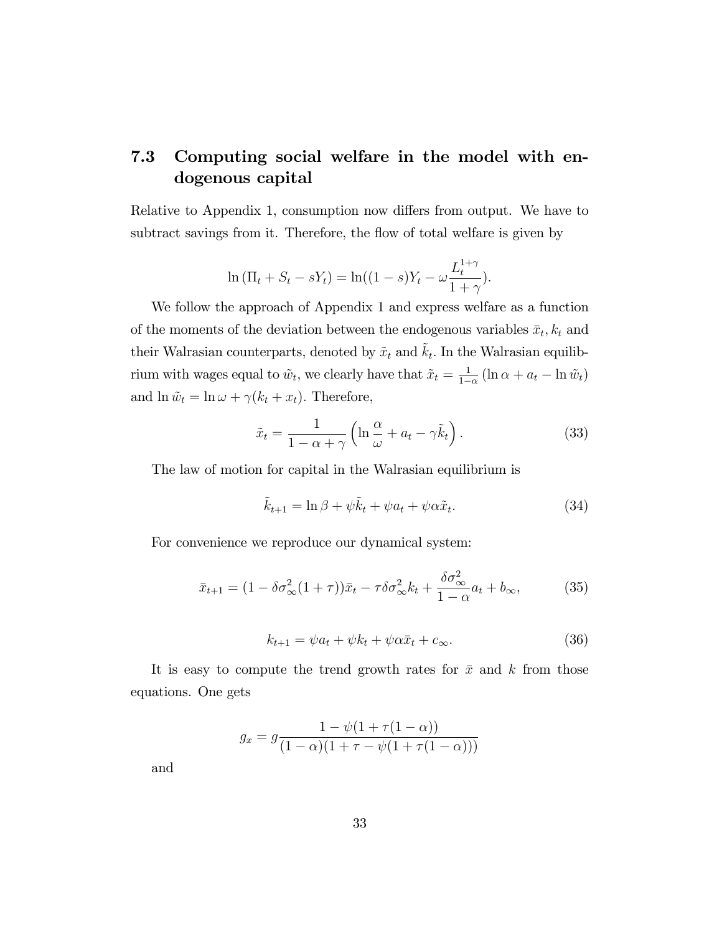# 7.3 Computing social welfare in the model with endogenous capital

Relative to Appendix 1, consumption now differs from output. We have to subtract savings from it. Therefore, the flow of total welfare is given by

$$
\ln (\Pi_t + S_t - sY_t) = \ln((1 - s)Y_t - \omega \frac{L_t^{1 + \gamma}}{1 + \gamma}).
$$

We follow the approach of Appendix 1 and express welfare as a function of the moments of the deviation between the endogenous variables  $\bar{x}_t, k_t$  and their Walrasian counterparts, denoted by  $\tilde{x}_t$  and  $\tilde{k}_t$ . In the Walrasian equilibrium with wages equal to  $\tilde{w}_t$ , we clearly have that  $\tilde{x}_t = \frac{1}{1-t}$  $\frac{1}{1-\alpha}(\ln \alpha + a_t - \ln \tilde{w}_t)$ and  $\ln \tilde{w}_t = \ln \omega + \gamma (k_t + x_t)$ . Therefore,

$$
\tilde{x}_t = \frac{1}{1 - \alpha + \gamma} \left( \ln \frac{\alpha}{\omega} + a_t - \gamma \tilde{k}_t \right). \tag{33}
$$

The law of motion for capital in the Walrasian equilibrium is

$$
\tilde{k}_{t+1} = \ln \beta + \psi \tilde{k}_t + \psi a_t + \psi \alpha \tilde{x}_t.
$$
\n(34)

For convenience we reproduce our dynamical system:

$$
\bar{x}_{t+1} = (1 - \delta \sigma_{\infty}^2 (1 + \tau)) \bar{x}_t - \tau \delta \sigma_{\infty}^2 k_t + \frac{\delta \sigma_{\infty}^2}{1 - \alpha} a_t + b_{\infty},
$$
(35)

$$
k_{t+1} = \psi a_t + \psi k_t + \psi \alpha \bar{x}_t + c_{\infty}.
$$
 (36)

It is easy to compute the trend growth rates for  $\bar{x}$  and k from those equations. One gets

$$
g_x = g \frac{1 - \psi(1 + \tau(1 - \alpha))}{(1 - \alpha)(1 + \tau - \psi(1 + \tau(1 - \alpha)))}
$$

and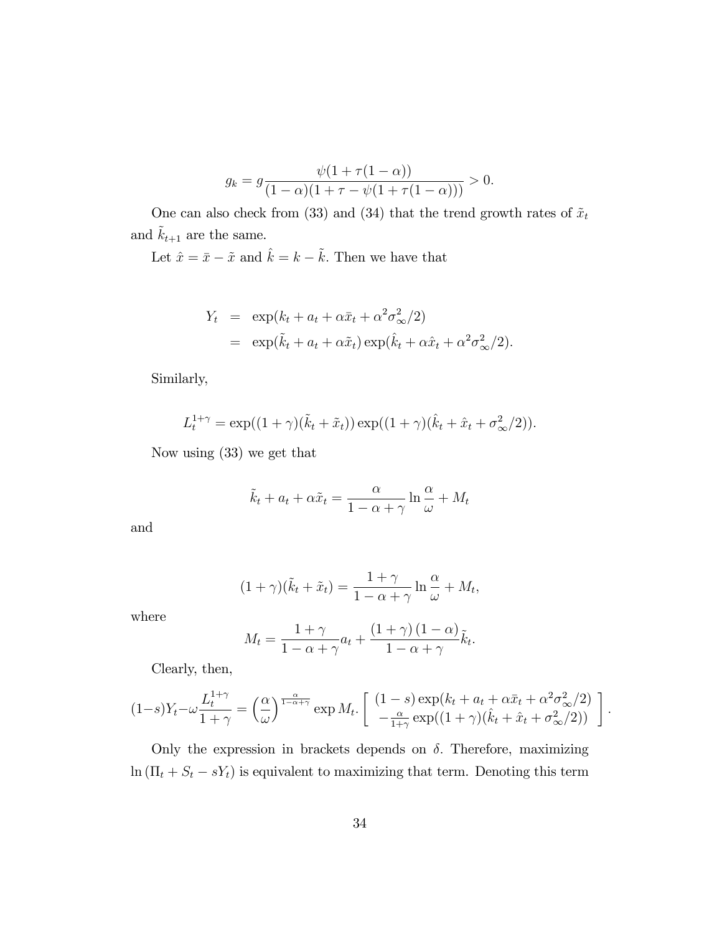$$
g_k = g \frac{\psi(1 + \tau(1 - \alpha))}{(1 - \alpha)(1 + \tau - \psi(1 + \tau(1 - \alpha)))} > 0.
$$

One can also check from (33) and (34) that the trend growth rates of  $\tilde{x}_t$ and  $\tilde{k}_{t+1}$  are the same.

Let  $\hat{x} = \bar{x} - \tilde{x}$  and  $\hat{k} = k - \tilde{k}$ . Then we have that

$$
Y_t = \exp(k_t + a_t + \alpha \bar{x}_t + \alpha^2 \sigma_{\infty}^2/2)
$$
  
= 
$$
\exp(\tilde{k}_t + a_t + \alpha \tilde{x}_t) \exp(\hat{k}_t + \alpha \hat{x}_t + \alpha^2 \sigma_{\infty}^2/2).
$$

Similarly,

$$
L_t^{1+\gamma} = \exp((1+\gamma)(\tilde{k}_t + \tilde{x}_t)) \exp((1+\gamma)(\hat{k}_t + \hat{x}_t + \sigma_{\infty}^2/2)).
$$

Now using (33) we get that

$$
\tilde{k}_t + a_t + \alpha \tilde{x}_t = \frac{\alpha}{1 - \alpha + \gamma} \ln \frac{\alpha}{\omega} + M_t
$$

and

$$
(1+\gamma)(\tilde{k}_t + \tilde{x}_t) = \frac{1+\gamma}{1-\alpha+\gamma} \ln \frac{\alpha}{\omega} + M_t,
$$

where

$$
M_t = \frac{1+\gamma}{1-\alpha+\gamma}a_t + \frac{(1+\gamma)(1-\alpha)}{1-\alpha+\gamma}\tilde{k}_t.
$$

Clearly, then,

$$
(1-s)Y_t - \omega \frac{L_t^{1+\gamma}}{1+\gamma} = \left(\frac{\alpha}{\omega}\right)^{\frac{\alpha}{1-\alpha+\gamma}} \exp M_t. \left[ \begin{array}{c} (1-s) \exp(k_t + a_t + \alpha \bar{x}_t + \alpha^2 \sigma_{\infty}^2/2) \\ -\frac{\alpha}{1+\gamma} \exp((1+\gamma)(\hat{k}_t + \hat{x}_t + \sigma_{\infty}^2/2)) \end{array} \right].
$$

Only the expression in brackets depends on  $\delta$ . Therefore, maximizing  $\ln(\Pi_t + S_t - sY_t)$  is equivalent to maximizing that term. Denoting this term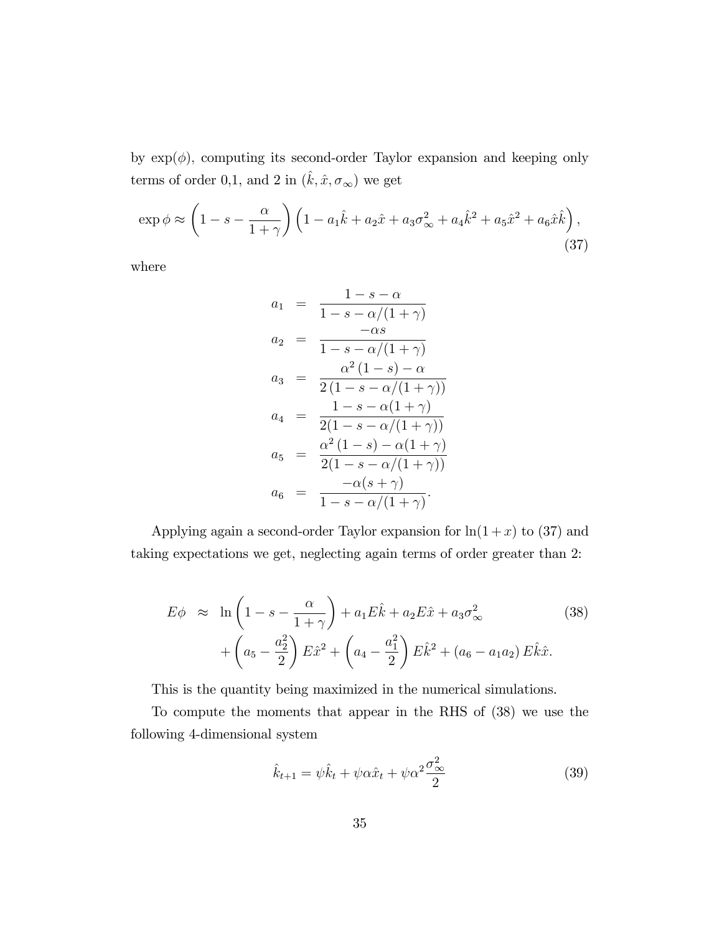by  $\exp(\phi)$ , computing its second-order Taylor expansion and keeping only terms of order 0,1, and 2 in  $(\hat{k}, \hat{x}, \sigma_{\infty})$  we get

$$
\exp \phi \approx \left(1 - s - \frac{\alpha}{1 + \gamma}\right) \left(1 - a_1 \hat{k} + a_2 \hat{x} + a_3 \sigma_{\infty}^2 + a_4 \hat{k}^2 + a_5 \hat{x}^2 + a_6 \hat{x} \hat{k}\right),\tag{37}
$$

where

$$
a_1 = \frac{1 - s - \alpha}{1 - s - \alpha/(1 + \gamma)}
$$
  
\n
$$
a_2 = \frac{-\alpha s}{1 - s - \alpha/(1 + \gamma)}
$$
  
\n
$$
a_3 = \frac{\alpha^2 (1 - s) - \alpha}{2(1 - s - \alpha/(1 + \gamma))}
$$
  
\n
$$
a_4 = \frac{1 - s - \alpha(1 + \gamma)}{2(1 - s - \alpha/(1 + \gamma))}
$$
  
\n
$$
a_5 = \frac{\alpha^2 (1 - s) - \alpha(1 + \gamma)}{2(1 - s - \alpha/(1 + \gamma))}
$$
  
\n
$$
a_6 = \frac{-\alpha(s + \gamma)}{1 - s - \alpha/(1 + \gamma)}
$$

Applying again a second-order Taylor expansion for  $ln(1+x)$  to (37) and taking expectations we get, neglecting again terms of order greater than 2:

$$
E\phi \approx \ln\left(1 - s - \frac{\alpha}{1 + \gamma}\right) + a_1 E\hat{k} + a_2 E\hat{x} + a_3 \sigma_{\infty}^2
$$
 (38)  
+  $\left(a_5 - \frac{a_2^2}{2}\right) E\hat{x}^2 + \left(a_4 - \frac{a_1^2}{2}\right) E\hat{k}^2 + \left(a_6 - a_1 a_2\right) E\hat{k}\hat{x}.$ 

This is the quantity being maximized in the numerical simulations.

To compute the moments that appear in the RHS of (38) we use the following 4-dimensional system

$$
\hat{k}_{t+1} = \psi \hat{k}_t + \psi \alpha \hat{x}_t + \psi \alpha^2 \frac{\sigma_{\infty}^2}{2}
$$
\n(39)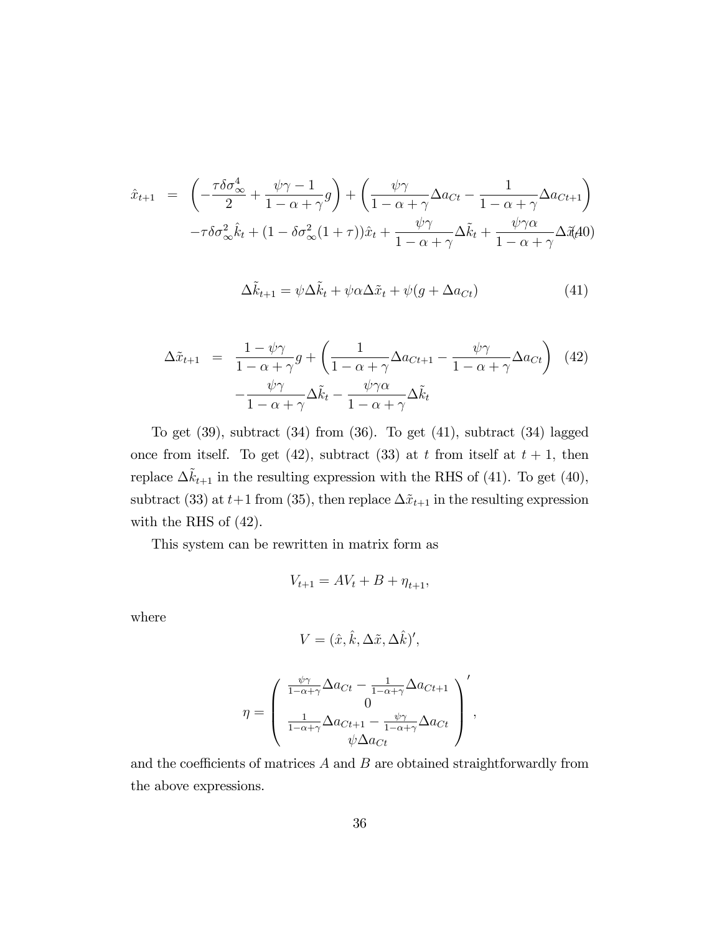$$
\hat{x}_{t+1} = \left( -\frac{\tau \delta \sigma_{\infty}^4}{2} + \frac{\psi \gamma - 1}{1 - \alpha + \gamma} g \right) + \left( \frac{\psi \gamma}{1 - \alpha + \gamma} \Delta a_{Ct} - \frac{1}{1 - \alpha + \gamma} \Delta a_{Ct+1} \right) \n- \tau \delta \sigma_{\infty}^2 \hat{k}_t + (1 - \delta \sigma_{\infty}^2 (1 + \tau)) \hat{x}_t + \frac{\psi \gamma}{1 - \alpha + \gamma} \Delta \tilde{k}_t + \frac{\psi \gamma \alpha}{1 - \alpha + \gamma} \Delta \tilde{x}_t \Delta 0
$$

$$
\Delta \tilde{k}_{t+1} = \psi \Delta \tilde{k}_t + \psi \alpha \Delta \tilde{x}_t + \psi (g + \Delta a_{Ct}) \tag{41}
$$

$$
\Delta \tilde{x}_{t+1} = \frac{1 - \psi \gamma}{1 - \alpha + \gamma} g + \left( \frac{1}{1 - \alpha + \gamma} \Delta a_{Ct+1} - \frac{\psi \gamma}{1 - \alpha + \gamma} \Delta a_{Ct} \right) (42)
$$

$$
- \frac{\psi \gamma}{1 - \alpha + \gamma} \Delta \tilde{k}_t - \frac{\psi \gamma \alpha}{1 - \alpha + \gamma} \Delta \tilde{k}_t
$$

To get  $(39)$ , subtract  $(34)$  from  $(36)$ . To get  $(41)$ , subtract  $(34)$  lagged once from itself. To get (42), subtract (33) at t from itself at  $t + 1$ , then replace  $\Delta \tilde{k}_{t+1}$  in the resulting expression with the RHS of (41). To get (40), subtract (33) at  $t+1$  from (35), then replace  $\Delta \tilde{x}_{t+1}$  in the resulting expression with the RHS of (42).

This system can be rewritten in matrix form as

$$
V_{t+1} = AV_t + B + \eta_{t+1},
$$

where

$$
V = (\hat{x}, \hat{k}, \Delta \tilde{x}, \Delta \hat{k})',
$$

$$
\eta = \begin{pmatrix} \frac{\psi \gamma}{1 - \alpha + \gamma} \Delta a_{Ct} - \frac{1}{1 - \alpha + \gamma} \Delta a_{Ct+1} \\ 0 \\ \frac{1}{1 - \alpha + \gamma} \Delta a_{Ct+1} - \frac{\psi \gamma}{1 - \alpha + \gamma} \Delta a_{Ct} \\ \psi \Delta a_{Ct} \end{pmatrix},
$$

and the coefficients of matrices  $A$  and  $B$  are obtained straightforwardly from the above expressions.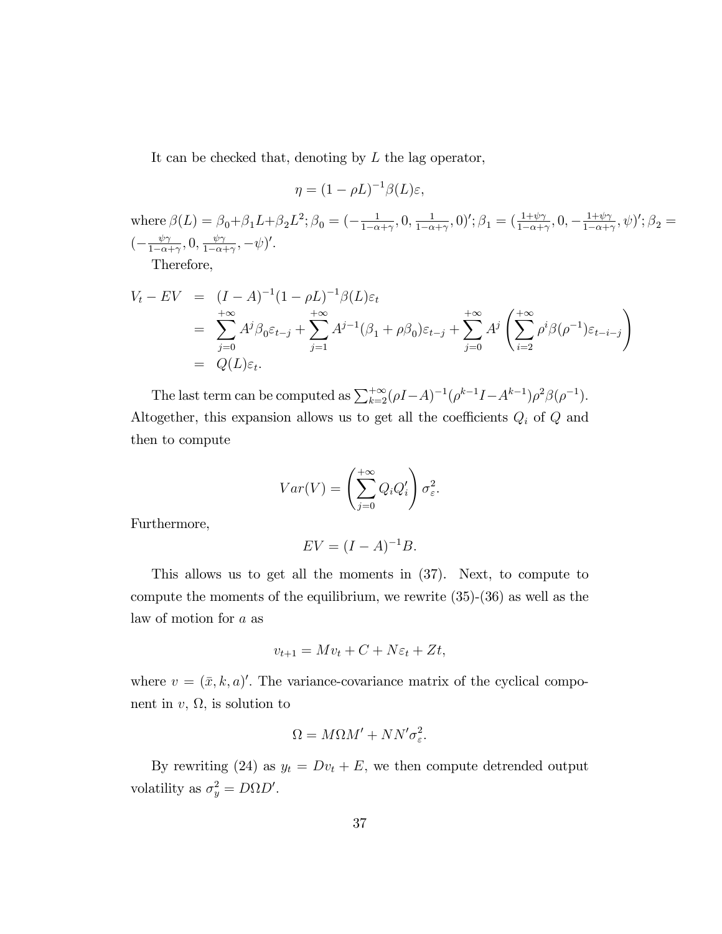It can be checked that, denoting by  $L$  the lag operator,

$$
\eta = (1 - \rho L)^{-1} \beta(L) \varepsilon,
$$

where  $\beta(L) = \beta_0 + \beta_1 L + \beta_2 L^2$ ;  $\beta_0 = \left(-\frac{1}{1-\alpha}\right)$  $\frac{1}{1-\alpha+\gamma}, 0, \frac{1}{1-\alpha}$  $\frac{1}{1-\alpha+\gamma}, 0$ ';  $\beta_1 = (\frac{1+\psi\gamma}{1-\alpha+\gamma}, 0, -\frac{1+\psi\gamma}{1-\alpha+\gamma})$  $\frac{1+\psi\gamma}{1-\alpha+\gamma},\psi$ ';  $\beta_2=$  $\left(-\frac{\psi\gamma}{1-\alpha}\right)$  $\frac{\psi\gamma}{1-\alpha+\gamma}, 0, \frac{\psi\gamma}{1-\alpha-\gamma}$  $\frac{\psi \gamma}{1-\alpha+\gamma}, -\psi)'$ .

Therefore,

$$
V_t - EV = (I - A)^{-1} (1 - \rho L)^{-1} \beta(L) \varepsilon_t
$$
  
= 
$$
\sum_{j=0}^{+\infty} A^j \beta_0 \varepsilon_{t-j} + \sum_{j=1}^{+\infty} A^{j-1} (\beta_1 + \rho \beta_0) \varepsilon_{t-j} + \sum_{j=0}^{+\infty} A^j \left( \sum_{i=2}^{+\infty} \rho^i \beta(\rho^{-1}) \varepsilon_{t-i-j} \right)
$$
  
= 
$$
Q(L) \varepsilon_t.
$$

The last term can be computed as  $\sum_{k=2}^{+\infty} (\rho I - A)^{-1} (\rho^{k-1} I - A^{k-1}) \rho^2 \beta(\rho^{-1}).$ Altogether, this expansion allows us to get all the coefficients  $Q_i$  of  $Q$  and then to compute

$$
Var(V) = \left(\sum_{j=0}^{+\infty} Q_i Q'_i\right) \sigma_{\varepsilon}^2.
$$

Furthermore,

$$
EV = (I - A)^{-1}B.
$$

This allows us to get all the moments in (37). Next, to compute to compute the moments of the equilibrium, we rewrite (35)-(36) as well as the law of motion for a as

$$
v_{t+1} = Mv_t + C + N\varepsilon_t + Zt,
$$

where  $v = (\bar{x}, k, a)'$ . The variance-covariance matrix of the cyclical component in  $v, \Omega$ , is solution to

$$
\Omega = M\Omega M' + NN'\sigma_{\varepsilon}^2.
$$

By rewriting (24) as  $y_t = Dv_t + E$ , we then compute detrended output volatility as  $\sigma_y^2 = D\Omega D'$ .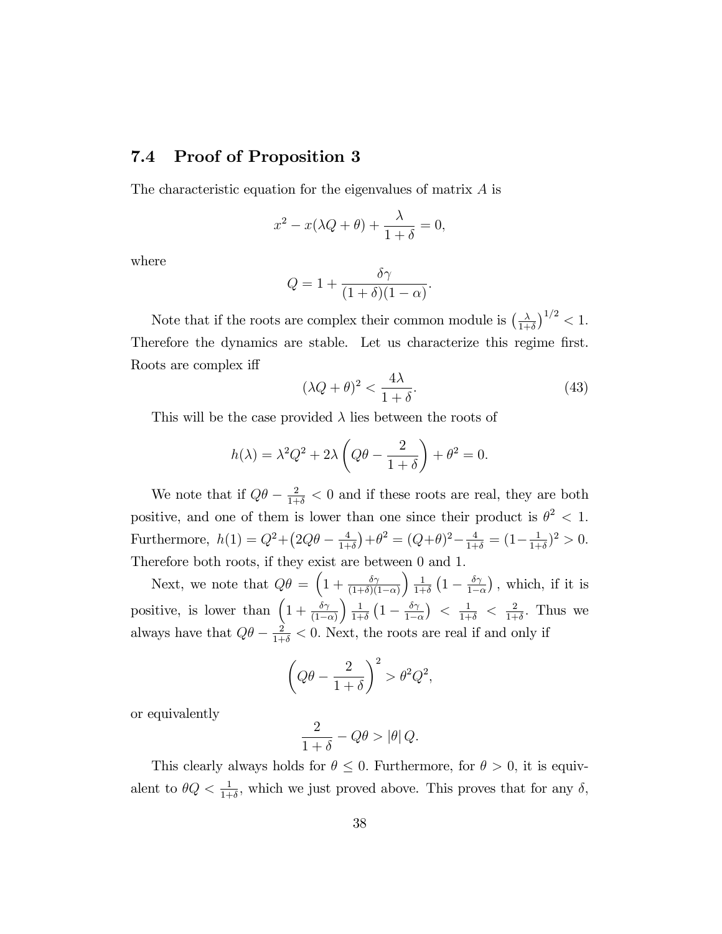### 7.4 Proof of Proposition 3

The characteristic equation for the eigenvalues of matrix A is

$$
x^{2} - x(\lambda Q + \theta) + \frac{\lambda}{1 + \delta} = 0,
$$

where

$$
Q = 1 + \frac{\delta \gamma}{(1+\delta)(1-\alpha)}.
$$

Note that if the roots are complex their common module is  $\left(\frac{\lambda}{1+r}\right)$  $\frac{\lambda}{1+\delta}$ )<sup>1/2</sup> < 1. Therefore the dynamics are stable. Let us characterize this regime first. Roots are complex iff

$$
(\lambda Q + \theta)^2 < \frac{4\lambda}{1 + \delta}.\tag{43}
$$

This will be the case provided  $\lambda$  lies between the roots of

$$
h(\lambda) = \lambda^2 Q^2 + 2\lambda \left(Q\theta - \frac{2}{1+\delta}\right) + \theta^2 = 0.
$$

We note that if  $Q\theta - \frac{2}{1+\delta} < 0$  and if these roots are real, they are both positive, and one of them is lower than one since their product is  $\theta^2 < 1$ . Furthermore,  $h(1) = Q^2 + (2Q\theta - \frac{4}{1+1})$  $\frac{4}{1+\delta}$ ) +  $\theta^2 = (Q+\theta)^2 - \frac{4}{1+\delta} = (1 - \frac{1}{1+\delta})$  $\frac{1}{1+\delta})^2 > 0.$ Therefore both roots, if they exist are between 0 and 1:

Next, we note that  $Q\theta = \left(1 + \frac{\delta \gamma}{(1+\delta)(1-\alpha)}\right)$  $\frac{1}{2}$  $\frac{1}{1+\delta}\left(1-\frac{\delta\gamma}{1-\epsilon}\right)$  $1-\alpha$ ), which, if it is positive, is lower than  $\left(1 + \frac{\delta \gamma}{(1-\alpha)}\right)$  $\frac{1}{2}$  $\frac{1}{1+\delta}\left(1-\frac{\delta\gamma}{1-\delta}\right)$  $1-\alpha$ )  $\langle \frac{1}{1+\delta} \rangle \langle \frac{2}{1+\delta} \rangle$  $\frac{2}{1+\delta}$ . Thus we always have that  $Q\theta - \frac{2}{1+\delta} < 0$ . Next, the roots are real if and only if

$$
\left(Q\theta - \frac{2}{1+\delta}\right)^2 > \theta^2 Q^2,
$$

or equivalently

$$
\frac{2}{1+\delta} - Q\theta > |\theta| \, Q.
$$

This clearly always holds for  $\theta \leq 0$ . Furthermore, for  $\theta > 0$ , it is equivalent to  $\theta Q < \frac{1}{1+\delta}$ , which we just proved above. This proves that for any  $\delta$ ,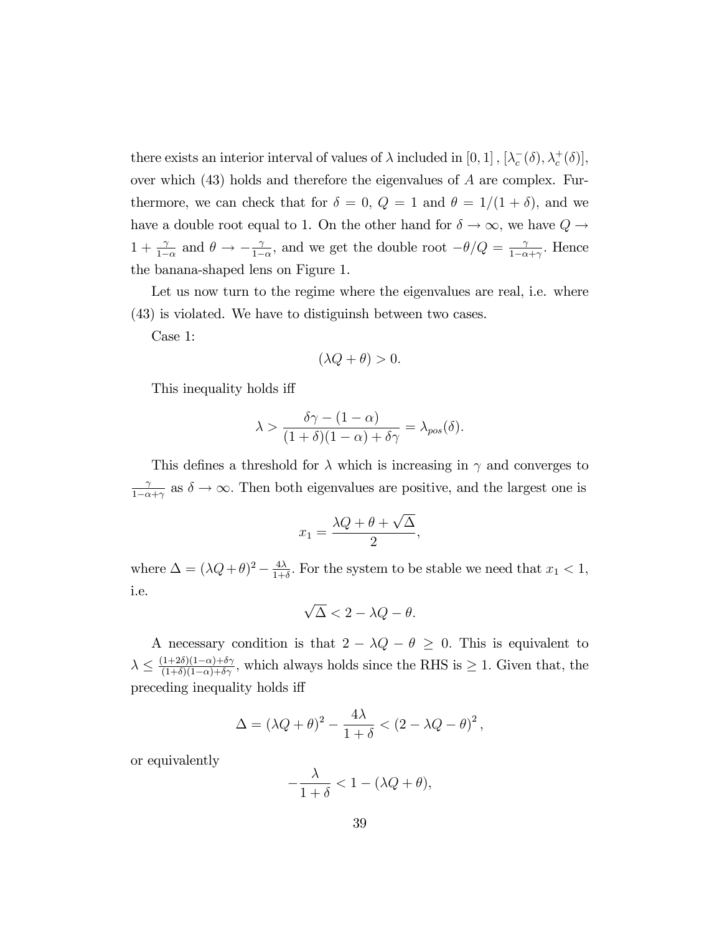there exists an interior interval of values of  $\lambda$  included in  $[0, 1]$ ,  $[\lambda_c^-(\delta), \lambda_c^+(\delta)]$ , over which  $(43)$  holds and therefore the eigenvalues of A are complex. Furthermore, we can check that for  $\delta = 0$ ,  $Q = 1$  and  $\theta = 1/(1 + \delta)$ , and we have a double root equal to 1. On the other hand for  $\delta \to \infty$ , we have  $Q \to$  $1 + \frac{\gamma}{1-\alpha}$  and  $\theta \to -\frac{\gamma}{1-\alpha}$  $\frac{\gamma}{1-\alpha}$ , and we get the double root  $-\theta/Q = \frac{\gamma}{1-\alpha}$  $\frac{\gamma}{1-\alpha+\gamma}$ . Hence the banana-shaped lens on Figure 1.

Let us now turn to the regime where the eigenvalues are real, i.e. where (43) is violated. We have to distiguinsh between two cases.

Case 1:

$$
(\lambda Q + \theta) > 0.
$$

This inequality holds iff

$$
\lambda > \frac{\delta \gamma - (1 - \alpha)}{(1 + \delta)(1 - \alpha) + \delta \gamma} = \lambda_{pos}(\delta).
$$

This defines a threshold for  $\lambda$  which is increasing in  $\gamma$  and converges to  $\gamma$  $\frac{\gamma}{1-\alpha+\gamma}$  as  $\delta \to \infty$ . Then both eigenvalues are positive, and the largest one is

$$
x_1 = \frac{\lambda Q + \theta + \sqrt{\Delta}}{2},
$$

where  $\Delta = (\lambda Q + \theta)^2 - \frac{4\lambda}{1+\theta}$  $\frac{4\lambda}{1+\delta}$ . For the system to be stable we need that  $x_1 < 1$ , i.e.

$$
\sqrt{\Delta} < 2 - \lambda Q - \theta.
$$

A necessary condition is that  $2 - \lambda Q - \theta \geq 0$ . This is equivalent to  $\lambda \leq \frac{(1+2\delta)(1-\alpha)+\delta\gamma}{(1+\delta)(1-\alpha)+\delta\gamma}$ , which always holds since the RHS is  $\geq 1$ . Given that, the preceding inequality holds iff

$$
\Delta = (\lambda Q + \theta)^2 - \frac{4\lambda}{1+\delta} < (2 - \lambda Q - \theta)^2,
$$

or equivalently

$$
-\frac{\lambda}{1+\delta} < 1 - (\lambda Q + \theta),
$$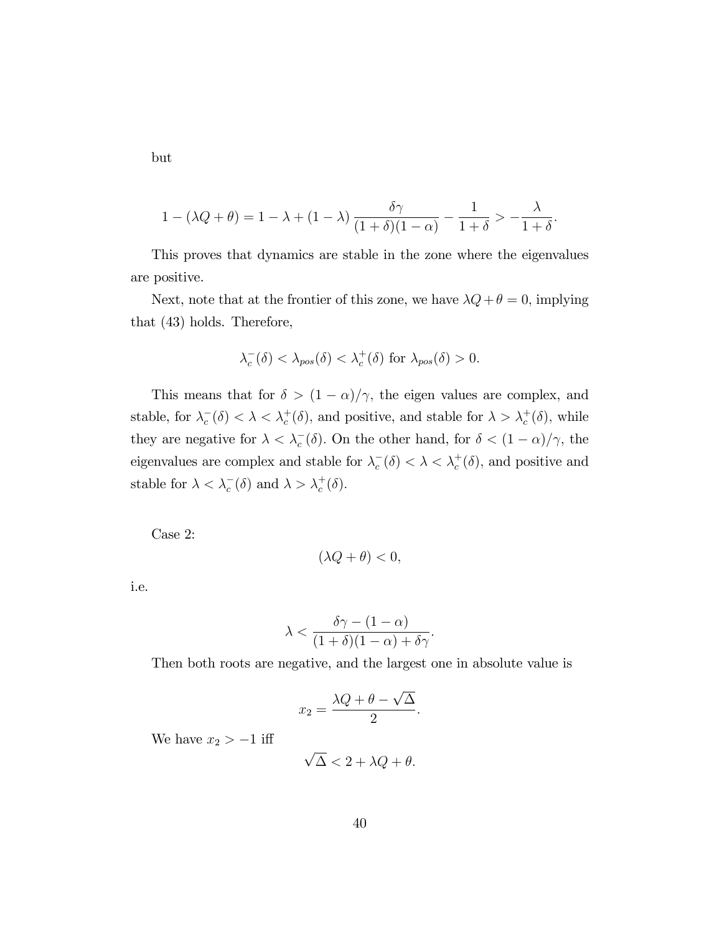but

$$
1 - (\lambda Q + \theta) = 1 - \lambda + (1 - \lambda) \frac{\delta \gamma}{(1 + \delta)(1 - \alpha)} - \frac{1}{1 + \delta} > -\frac{\lambda}{1 + \delta}.
$$

This proves that dynamics are stable in the zone where the eigenvalues are positive.

Next, note that at the frontier of this zone, we have  $\lambda Q + \theta = 0$ , implying that (43) holds. Therefore,

$$
\lambda_c^-(\delta) < \lambda_{pos}(\delta) < \lambda_c^+(\delta) \text{ for } \lambda_{pos}(\delta) > 0.
$$

This means that for  $\delta > (1 - \alpha)/\gamma$ , the eigen values are complex, and stable, for  $\lambda_c^-(\delta) < \lambda < \lambda_c^+(\delta)$ , and positive, and stable for  $\lambda > \lambda_c^+(\delta)$ , while they are negative for  $\lambda < \lambda_c^-(\delta)$ . On the other hand, for  $\delta < (1 - \alpha)/\gamma$ , the eigenvalues are complex and stable for  $\lambda_c^-(\delta) < \lambda < \lambda_c^+(\delta)$ , and positive and stable for  $\lambda < \lambda_c^-(\delta)$  and  $\lambda > \lambda_c^+(\delta)$ .

Case 2:

$$
(\lambda Q + \theta) < 0,
$$

i.e.

$$
\lambda < \frac{\delta \gamma - (1 - \alpha)}{(1 + \delta)(1 - \alpha) + \delta \gamma}.
$$

Then both roots are negative, and the largest one in absolute value is

$$
x_2 = \frac{\lambda Q + \theta - \sqrt{\Delta}}{2}.
$$

We have  $x_2 > -1$  iff

$$
\sqrt{\Delta} < 2 + \lambda Q + \theta.
$$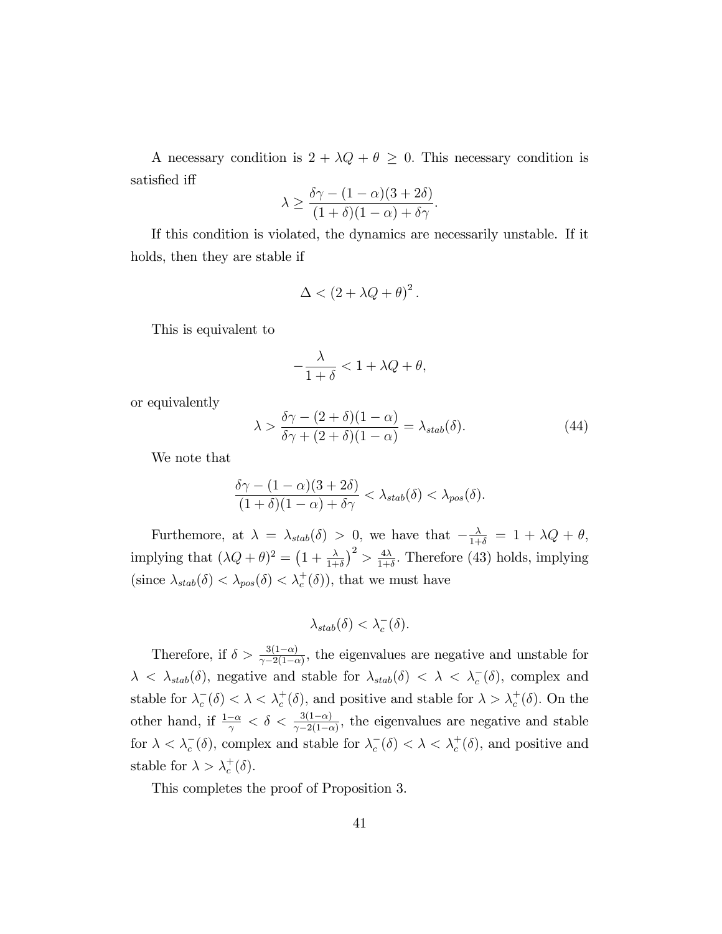A necessary condition is  $2 + \lambda Q + \theta \geq 0$ . This necessary condition is satisfied iff

$$
\lambda \ge \frac{\delta \gamma - (1 - \alpha)(3 + 2\delta)}{(1 + \delta)(1 - \alpha) + \delta \gamma}.
$$

If this condition is violated, the dynamics are necessarily unstable. If it holds, then they are stable if

$$
\Delta < (2 + \lambda Q + \theta)^2.
$$

This is equivalent to

$$
-\frac{\lambda}{1+\delta} < 1 + \lambda Q + \theta,
$$

or equivalently

$$
\lambda > \frac{\delta \gamma - (2 + \delta)(1 - \alpha)}{\delta \gamma + (2 + \delta)(1 - \alpha)} = \lambda_{stab}(\delta). \tag{44}
$$

We note that

$$
\frac{\delta \gamma - (1 - \alpha)(3 + 2\delta)}{(1 + \delta)(1 - \alpha) + \delta \gamma} < \lambda_{stab}(\delta) < \lambda_{pos}(\delta).
$$

Furthemore, at  $\lambda = \lambda_{stab}(\delta) > 0$ , we have that  $-\frac{\lambda}{1+\delta} = 1 + \lambda Q + \theta$ , implying that  $(\lambda Q + \theta)^2 = (1 + \frac{\lambda}{1+\delta})^2 > \frac{4\lambda}{1+\delta}$  $\frac{4\lambda}{1+\delta}$ . Therefore (43) holds, implying (since  $\lambda_{stab}(\delta) < \lambda_{pos}(\delta) < \lambda_c^+(\delta)$ ), that we must have

$$
\lambda_{stab}(\delta) < \lambda_c^-(\delta).
$$

Therefore, if  $\delta > \frac{3(1-\alpha)}{\gamma - 2(1-\alpha)}$ , the eigenvalues are negative and unstable for  $\lambda < \lambda_{stab}(\delta)$ , negative and stable for  $\lambda_{stab}(\delta) < \lambda < \lambda_c^-(\delta)$ , complex and stable for  $\lambda_c^-(\delta) < \lambda < \lambda_c^+(\delta)$ , and positive and stable for  $\lambda > \lambda_c^+(\delta)$ . On the other hand, if  $\frac{1-\alpha}{\gamma} < \delta < \frac{3(1-\alpha)}{\gamma-2(1-\alpha)}$ , the eigenvalues are negative and stable for  $\lambda < \lambda_c^-(\delta)$ , complex and stable for  $\lambda_c^-(\delta) < \lambda < \lambda_c^+(\delta)$ , and positive and stable for  $\lambda > \lambda_c^+(\delta)$ .

This completes the proof of Proposition 3.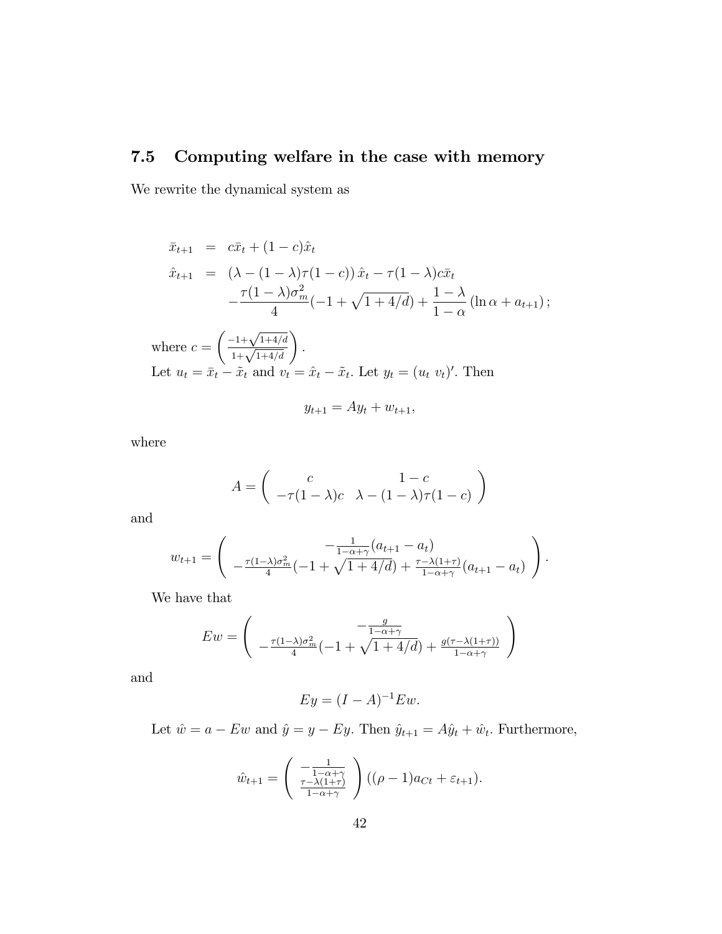# 7.5 Computing welfare in the case with memory

We rewrite the dynamical system as

$$
\bar{x}_{t+1} = c\bar{x}_t + (1-c)\hat{x}_t
$$
\n
$$
\hat{x}_{t+1} = (\lambda - (1-\lambda)\tau(1-c))\hat{x}_t - \tau(1-\lambda)c\bar{x}_t
$$
\n
$$
-\frac{\tau(1-\lambda)\sigma_m^2}{4}(-1+\sqrt{1+4/d}) + \frac{1-\lambda}{1-\alpha}(\ln \alpha + a_{t+1});
$$
\nwhere  $c = \left(\frac{-1+\sqrt{1+4/d}}{1+\sqrt{1+4/d}}\right)$ .  
\nLet  $u_t = \bar{x}_t - \tilde{x}_t$  and  $v_t = \hat{x}_t - \tilde{x}_t$ . Let  $y_t = (u_t, v_t)'$ . Then

$$
y_{t+1} = Ay_t + w_{t+1},
$$

where

$$
A = \begin{pmatrix} c & 1 - c \\ -\tau (1 - \lambda)c & \lambda - (1 - \lambda)\tau (1 - c) \end{pmatrix}
$$

and

$$
w_{t+1} = \begin{pmatrix} -\frac{1}{1 - \alpha + \gamma}(a_{t+1} - a_t) \\ -\frac{\tau(1 - \lambda)\sigma_m^2}{4}(-1 + \sqrt{1 + 4/d}) + \frac{\tau - \lambda(1 + \tau)}{1 - \alpha + \gamma}(a_{t+1} - a_t) \end{pmatrix}.
$$

We have that

$$
Ew = \begin{pmatrix} -\frac{g}{1-\alpha+\gamma} \\ -\frac{\tau(1-\lambda)\sigma_m^2}{4}(-1+\sqrt{1+4/d}) + \frac{g(\tau-\lambda(1+\tau))}{1-\alpha+\gamma} \end{pmatrix}
$$

and

$$
Ey = (I - A)^{-1}Ew.
$$

Let  $\hat{w} = a - Ew$  and  $\hat{y} = y - Ey$ . Then  $\hat{y}_{t+1} = A\hat{y}_t + \hat{w}_t$ . Furthermore,

$$
\hat{w}_{t+1} = \begin{pmatrix} \frac{1}{1 - \alpha + \gamma} \\ \frac{\tau - \lambda(1 + \tau)}{1 - \alpha + \gamma} \end{pmatrix} ((\rho - 1)a_{Ct} + \varepsilon_{t+1}).
$$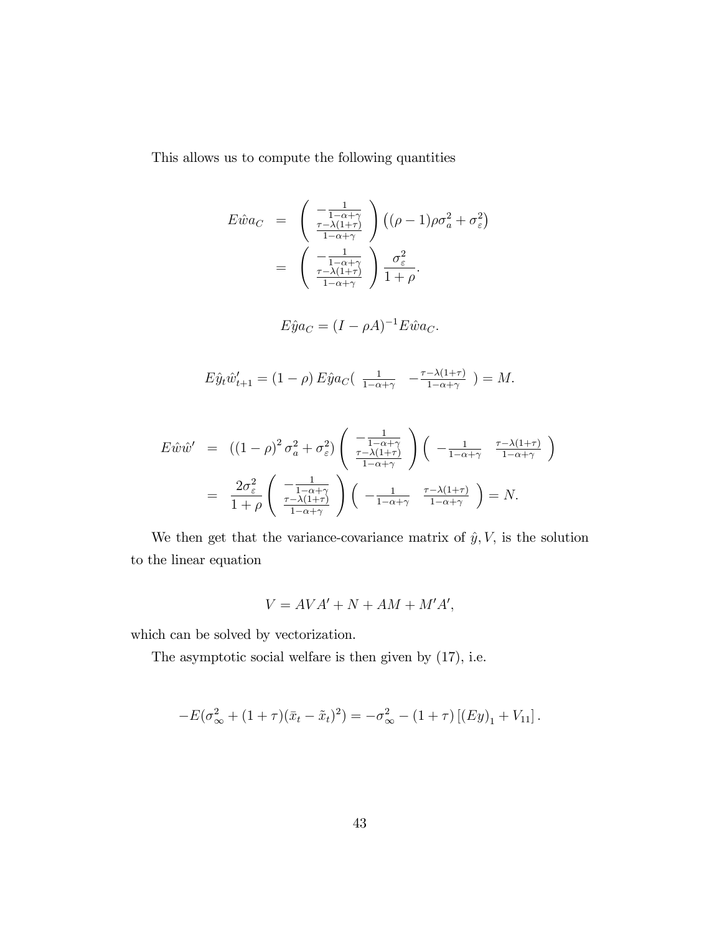This allows us to compute the following quantities

$$
E\hat{w}a_C = \begin{pmatrix} \frac{1}{1-\alpha+\gamma} \\ \frac{\tau-\lambda(1+\tau)}{1-\alpha+\gamma} \end{pmatrix} ((\rho-1)\rho\sigma_a^2 + \sigma_{\varepsilon}^2)
$$
  
= 
$$
\begin{pmatrix} \frac{1}{1-\alpha+\gamma} \\ \frac{\tau-\lambda(1+\tau)}{1-\alpha+\gamma} \end{pmatrix} \frac{\sigma_{\varepsilon}^2}{1+\rho}.
$$

$$
E\hat{y}a_C = (I - \rho A)^{-1}E\hat{w}a_C.
$$

$$
E\hat{y}_t \hat{w}'_{t+1} = (1 - \rho) E\hat{y} a_C \left( \frac{1}{1 - \alpha + \gamma} - \frac{\tau - \lambda(1 + \tau)}{1 - \alpha + \gamma} \right) = M.
$$

$$
E\hat{w}\hat{w}' = ((1-\rho)^2 \sigma_a^2 + \sigma_{\varepsilon}^2) \left( \frac{-\frac{1}{1-\alpha+\gamma}}{\frac{\tau-\lambda(1+\tau)}{1-\alpha+\gamma}} \right) \left( \frac{-\frac{1}{1-\alpha+\gamma}}{\frac{1-\alpha+\gamma}{1-\alpha+\gamma}} \right)
$$
  
= 
$$
\frac{2\sigma_{\varepsilon}^2}{1+\rho} \left( \frac{-\frac{1}{1-\alpha+\gamma}}{\frac{\tau-\lambda(1+\tau)}{1-\alpha+\gamma}} \right) \left( \frac{-\frac{1}{1-\alpha+\gamma}}{\frac{1}{1-\alpha+\gamma}} \frac{\frac{\tau-\lambda(1+\tau)}{1-\alpha+\gamma}}{\frac{\tau-\lambda(1+\tau)}{1-\alpha+\gamma}} \right) = N.
$$

We then get that the variance-covariance matrix of  $\hat{y}$ ,  $V$ , is the solution to the linear equation

$$
V = AVA' + N + AM + M'A',
$$

which can be solved by vectorization.

The asymptotic social welfare is then given by (17), i.e.

$$
-E(\sigma_{\infty}^2 + (1+\tau)(\bar{x}_t - \tilde{x}_t)^2) = -\sigma_{\infty}^2 - (1+\tau)[(Ey)_1 + V_{11}].
$$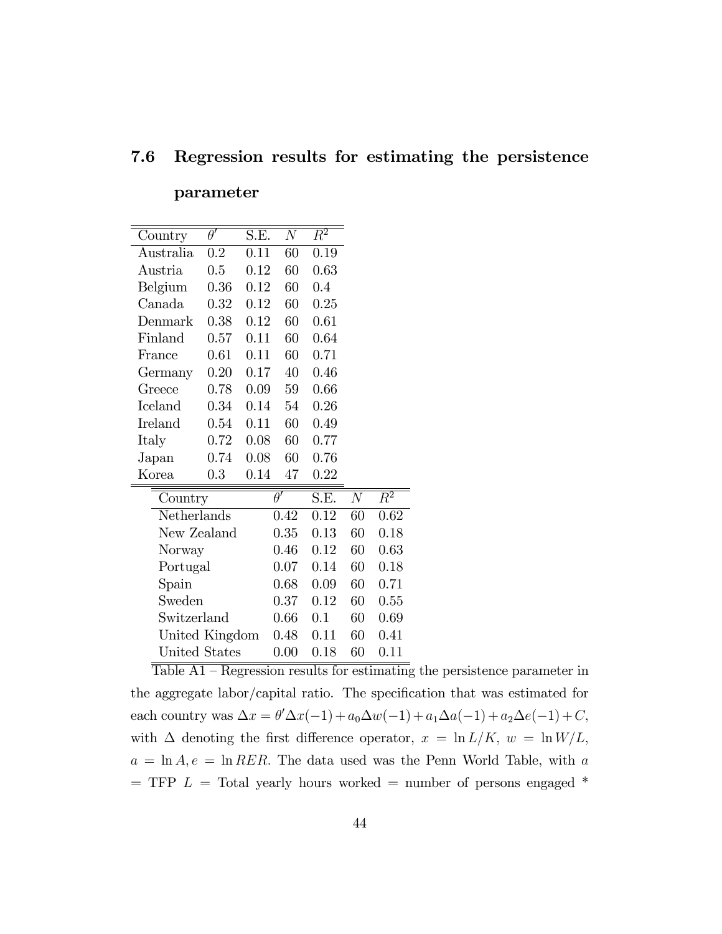### 7.6 Regression results for estimating the persistence

## parameter

 $\overline{\text{Table A1}-\text{Regression results for estimating the persistence parameter in}}$ the aggregate labor/capital ratio. The specification that was estimated for each country was  $\Delta x = \theta' \Delta x(-1) + a_0 \Delta w(-1) + a_1 \Delta a(-1) + a_2 \Delta e(-1) + C$ , with  $\Delta$  denoting the first difference operator,  $x = \ln L/K$ ,  $w = \ln W/L$ ,  $a = \ln A, e = \ln RER$ . The data used was the Penn World Table, with a  $=$  TFP  $L =$  Total yearly hours worked  $=$  number of persons engaged  $*$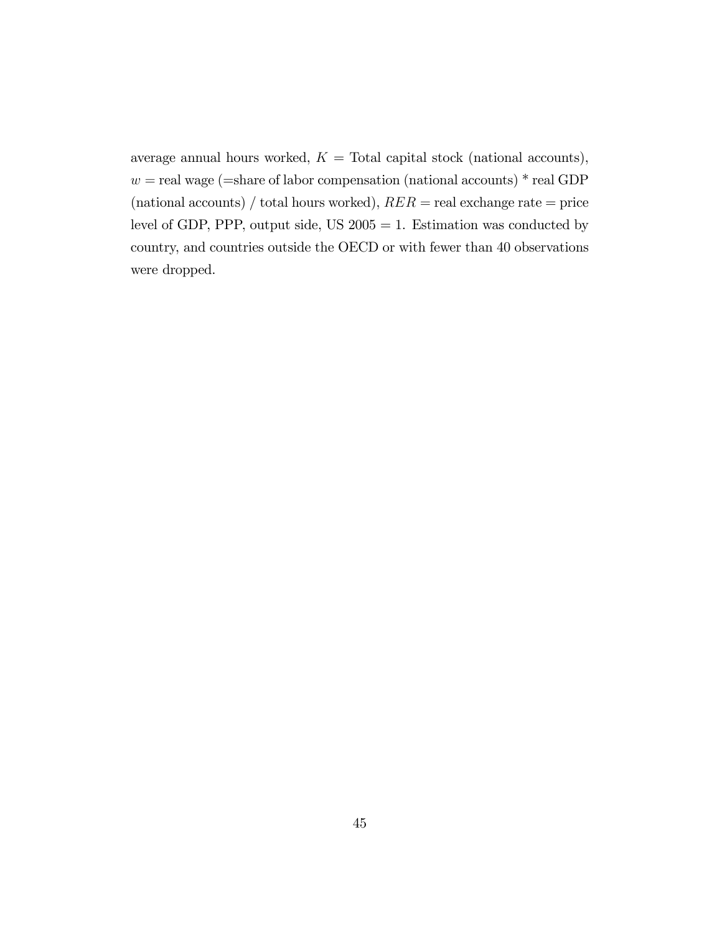average annual hours worked,  $K =$  Total capital stock (national accounts),  $w =$ real wage (=share of labor compensation (national accounts) \* real GDP (national accounts) / total hours worked),  $RER$  = real exchange rate = price level of GDP, PPP, output side, US  $2005 = 1$ . Estimation was conducted by country, and countries outside the OECD or with fewer than 40 observations were dropped.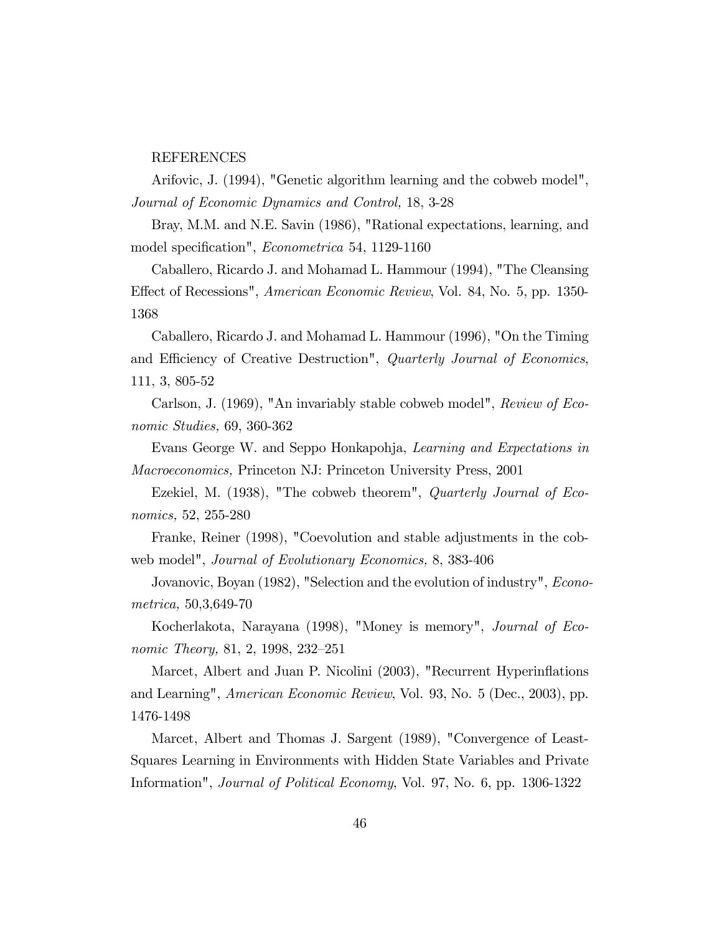### REFERENCES

Arifovic, J. (1994), "Genetic algorithm learning and the cobweb model", Journal of Economic Dynamics and Control, 18, 3-28

Bray, M.M. and N.E. Savin (1986), "Rational expectations, learning, and model specification", *Econometrica* 54, 1129-1160

Caballero, Ricardo J. and Mohamad L. Hammour (1994), "The Cleansing Effect of Recessions", *American Economic Review*, Vol. 84, No. 5, pp. 1350-1368

Caballero, Ricardo J. and Mohamad L. Hammour (1996), "On the Timing and Efficiency of Creative Destruction", Quarterly Journal of Economics, 111, 3, 805-52

Carlson, J. (1969), "An invariably stable cobweb model", Review of Economic Studies, 69, 360-362

Evans George W. and Seppo Honkapohja, Learning and Expectations in Macroeconomics, Princeton NJ: Princeton University Press, 2001

Ezekiel, M. (1938), "The cobweb theorem", *Quarterly Journal of Eco*nomics, 52, 255-280

Franke, Reiner (1998), "Coevolution and stable adjustments in the cobweb model", Journal of Evolutionary Economics, 8, 383-406

Jovanovic, Boyan (1982), "Selection and the evolution of industry", *Econo*metrica, 50,3,649-70

Kocherlakota, Narayana (1998), "Money is memory", Journal of Economic Theory, 81, 2, 1998, 232–251

Marcet, Albert and Juan P. Nicolini (2003), "Recurrent Hyperinflations and Learning", American Economic Review, Vol. 93, No. 5 (Dec., 2003), pp. 1476-1498

Marcet, Albert and Thomas J. Sargent (1989), "Convergence of Least-Squares Learning in Environments with Hidden State Variables and Private Information", Journal of Political Economy, Vol. 97, No. 6, pp. 1306-1322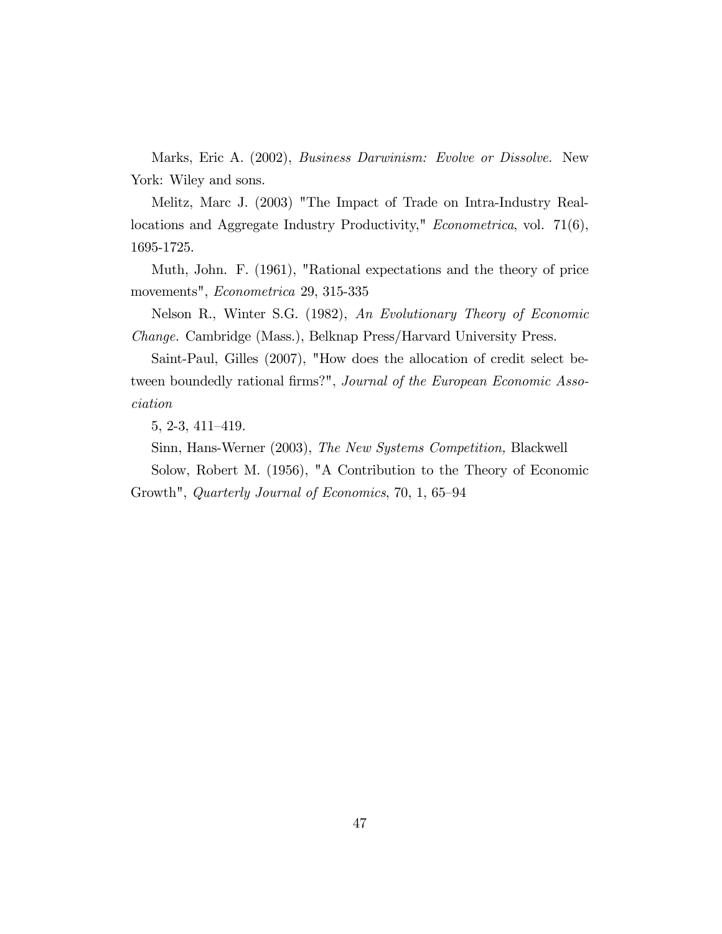Marks, Eric A. (2002), *Business Darwinism: Evolve or Dissolve*. New York: Wiley and sons.

Melitz, Marc J. (2003) "The Impact of Trade on Intra-Industry Reallocations and Aggregate Industry Productivity," *Econometrica*, vol. 71(6), 1695-1725.

Muth, John. F. (1961), "Rational expectations and the theory of price movements", Econometrica 29, 315-335

Nelson R., Winter S.G. (1982), An Evolutionary Theory of Economic Change. Cambridge (Mass.), Belknap Press/Harvard University Press.

Saint-Paul, Gilles (2007), "How does the allocation of credit select between boundedly rational firms?", Journal of the European Economic Association

 $5, 2-3, 411-419.$ 

Sinn, Hans-Werner (2003), The New Systems Competition, Blackwell

Solow, Robert M. (1956), "A Contribution to the Theory of Economic Growth", Quarterly Journal of Economics, 70, 1, 65–94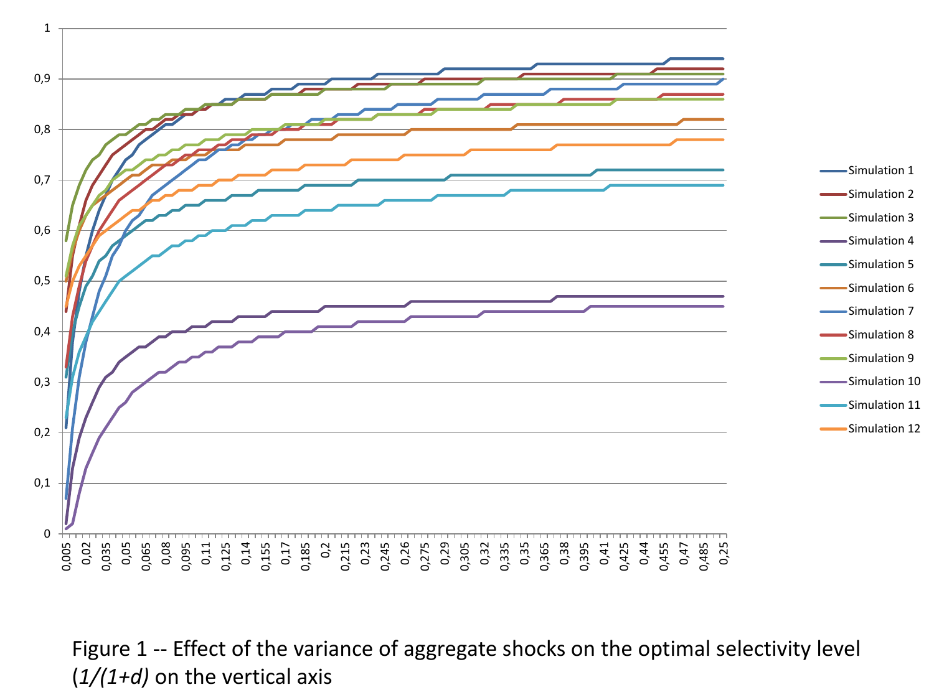

Figure 1 -- Effect of the variance of aggregate shocks on the optimal selectivity level (*1/(1+d)* on the vertical axis